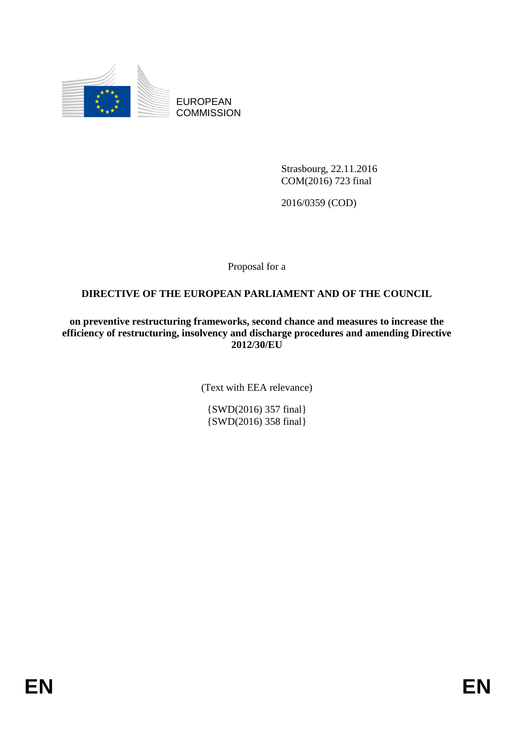

EUROPEAN **COMMISSION** 

> Strasbourg, 22.11.2016 COM(2016) 723 final

2016/0359 (COD)

Proposal for a

## **DIRECTIVE OF THE EUROPEAN PARLIAMENT AND OF THE COUNCIL**

**on preventive restructuring frameworks, second chance and measures to increase the efficiency of restructuring, insolvency and discharge procedures and amending Directive 2012/30/EU**

(Text with EEA relevance)

{SWD(2016) 357 final} {SWD(2016) 358 final}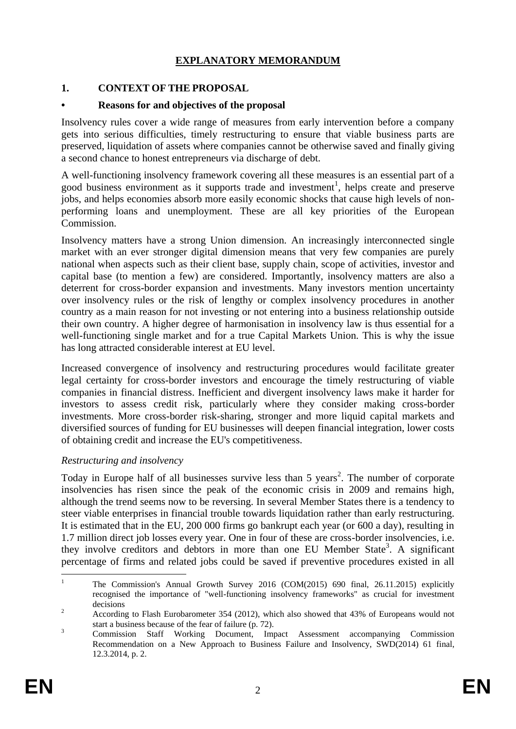## **EXPLANATORY MEMORANDUM**

#### **1. CONTEXT OF THE PROPOSAL**

#### **• Reasons for and objectives of the proposal**

Insolvency rules cover a wide range of measures from early intervention before a company gets into serious difficulties, timely restructuring to ensure that viable business parts are preserved, liquidation of assets where companies cannot be otherwise saved and finally giving a second chance to honest entrepreneurs via discharge of debt.

A well-functioning insolvency framework covering all these measures is an essential part of a good business environment as it supports trade and investment<sup>1</sup>, helps create and preserve jobs, and helps economies absorb more easily economic shocks that cause high levels of nonperforming loans and unemployment. These are all key priorities of the European Commission.

Insolvency matters have a strong Union dimension. An increasingly interconnected single market with an ever stronger digital dimension means that very few companies are purely national when aspects such as their client base, supply chain, scope of activities, investor and capital base (to mention a few) are considered. Importantly, insolvency matters are also a deterrent for cross-border expansion and investments. Many investors mention uncertainty over insolvency rules or the risk of lengthy or complex insolvency procedures in another country as a main reason for not investing or not entering into a business relationship outside their own country. A higher degree of harmonisation in insolvency law is thus essential for a well-functioning single market and for a true Capital Markets Union. This is why the issue has long attracted considerable interest at EU level.

Increased convergence of insolvency and restructuring procedures would facilitate greater legal certainty for cross-border investors and encourage the timely restructuring of viable companies in financial distress. Inefficient and divergent insolvency laws make it harder for investors to assess credit risk, particularly where they consider making cross-border investments. More cross-border risk-sharing, stronger and more liquid capital markets and diversified sources of funding for EU businesses will deepen financial integration, lower costs of obtaining credit and increase the EU's competitiveness.

#### *Restructuring and insolvency*

Today in Europe half of all businesses survive less than 5 years<sup>2</sup>. The number of corporate insolvencies has risen since the peak of the economic crisis in 2009 and remains high, although the trend seems now to be reversing. In several Member States there is a tendency to steer viable enterprises in financial trouble towards liquidation rather than early restructuring. It is estimated that in the EU, 200 000 firms go bankrupt each year (or 600 a day), resulting in 1.7 million direct job losses every year. One in four of these are cross-border insolvencies, i.e. they involve creditors and debtors in more than one EU Member State<sup>3</sup>. A significant percentage of firms and related jobs could be saved if preventive procedures existed in all

 $\overline{1}$ <sup>1</sup> The Commission's Annual Growth Survey 2016 (COM(2015) 690 final, 26.11.2015) explicitly recognised the importance of "well-functioning insolvency frameworks" as crucial for investment decisions

<sup>&</sup>lt;sup>2</sup> According to Flash Eurobarometer 354 (2012), which also showed that 43% of Europeans would not start a business because of the fear of failure (p. 72).

<sup>3</sup> Commission Staff Working Document, Impact Assessment accompanying Commission Recommendation on a New Approach to Business Failure and Insolvency, SWD(2014) 61 final, 12.3.2014, p. 2.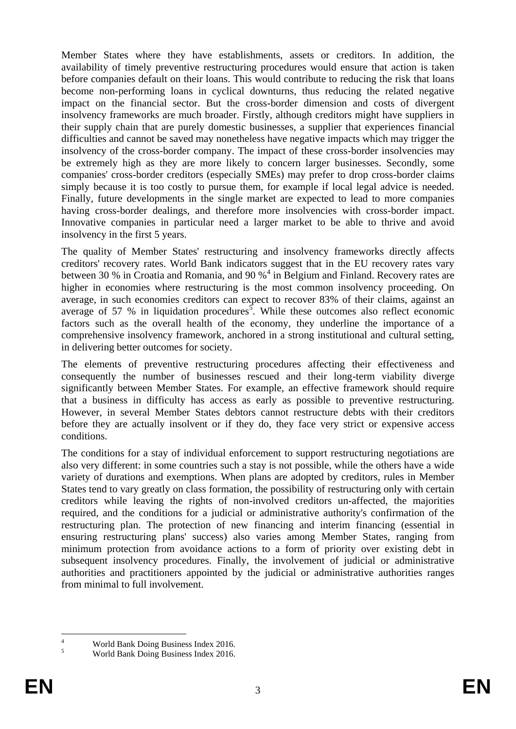Member States where they have establishments, assets or creditors. In addition, the availability of timely preventive restructuring procedures would ensure that action is taken before companies default on their loans. This would contribute to reducing the risk that loans become non-performing loans in cyclical downturns, thus reducing the related negative impact on the financial sector. But the cross-border dimension and costs of divergent insolvency frameworks are much broader. Firstly, although creditors might have suppliers in their supply chain that are purely domestic businesses, a supplier that experiences financial difficulties and cannot be saved may nonetheless have negative impacts which may trigger the insolvency of the cross-border company. The impact of these cross-border insolvencies may be extremely high as they are more likely to concern larger businesses. Secondly, some companies' cross-border creditors (especially SMEs) may prefer to drop cross-border claims simply because it is too costly to pursue them, for example if local legal advice is needed. Finally, future developments in the single market are expected to lead to more companies having cross-border dealings, and therefore more insolvencies with cross-border impact. Innovative companies in particular need a larger market to be able to thrive and avoid insolvency in the first 5 years.

The quality of Member States' restructuring and insolvency frameworks directly affects creditors' recovery rates. World Bank indicators suggest that in the EU recovery rates vary between 30 % in Croatia and Romania, and 90 %<sup>4</sup> in Belgium and Finland. Recovery rates are higher in economies where restructuring is the most common insolvency proceeding. On average, in such economies creditors can expect to recover 83% of their claims, against an average of 57 % in liquidation procedures<sup>5</sup>. While these outcomes also reflect economic factors such as the overall health of the economy, they underline the importance of a comprehensive insolvency framework, anchored in a strong institutional and cultural setting, in delivering better outcomes for society.

The elements of preventive restructuring procedures affecting their effectiveness and consequently the number of businesses rescued and their long-term viability diverge significantly between Member States. For example, an effective framework should require that a business in difficulty has access as early as possible to preventive restructuring. However, in several Member States debtors cannot restructure debts with their creditors before they are actually insolvent or if they do, they face very strict or expensive access conditions.

The conditions for a stay of individual enforcement to support restructuring negotiations are also very different: in some countries such a stay is not possible, while the others have a wide variety of durations and exemptions. When plans are adopted by creditors, rules in Member States tend to vary greatly on class formation, the possibility of restructuring only with certain creditors while leaving the rights of non-involved creditors un-affected, the majorities required, and the conditions for a judicial or administrative authority's confirmation of the restructuring plan. The protection of new financing and interim financing (essential in ensuring restructuring plans' success) also varies among Member States, ranging from minimum protection from avoidance actions to a form of priority over existing debt in subsequent insolvency procedures. Finally, the involvement of judicial or administrative authorities and practitioners appointed by the judicial or administrative authorities ranges from minimal to full involvement.

 $\overline{4}$  $\frac{4}{5}$  World Bank Doing Business Index 2016.

<sup>5</sup> World Bank Doing Business Index 2016.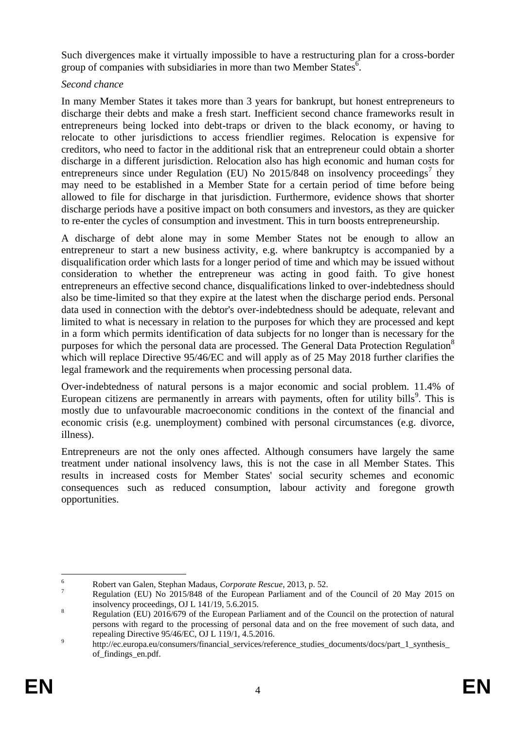Such divergences make it virtually impossible to have a restructuring plan for a cross-border group of companies with subsidiaries in more than two Member States  $6$ .

### *Second chance*

In many Member States it takes more than 3 years for bankrupt, but honest entrepreneurs to discharge their debts and make a fresh start. Inefficient second chance frameworks result in entrepreneurs being locked into debt-traps or driven to the black economy, or having to relocate to other jurisdictions to access friendlier regimes. Relocation is expensive for creditors, who need to factor in the additional risk that an entrepreneur could obtain a shorter discharge in a different jurisdiction. Relocation also has high economic and human costs for entrepreneurs since under Regulation (EU) No  $2015/848$  on insolvency proceedings<sup>7</sup> they may need to be established in a Member State for a certain period of time before being allowed to file for discharge in that jurisdiction. Furthermore, evidence shows that shorter discharge periods have a positive impact on both consumers and investors, as they are quicker to re-enter the cycles of consumption and investment. This in turn boosts entrepreneurship.

A discharge of debt alone may in some Member States not be enough to allow an entrepreneur to start a new business activity, e.g. where bankruptcy is accompanied by a disqualification order which lasts for a longer period of time and which may be issued without consideration to whether the entrepreneur was acting in good faith. To give honest entrepreneurs an effective second chance, disqualifications linked to over-indebtedness should also be time-limited so that they expire at the latest when the discharge period ends. Personal data used in connection with the debtor's over-indebtedness should be adequate, relevant and limited to what is necessary in relation to the purposes for which they are processed and kept in a form which permits identification of data subjects for no longer than is necessary for the purposes for which the personal data are processed. The General Data Protection Regulation<sup>8</sup> which will replace Directive 95/46/EC and will apply as of 25 May 2018 further clarifies the legal framework and the requirements when processing personal data.

Over-indebtedness of natural persons is a major economic and social problem. 11.4% of European citizens are permanently in arrears with payments, often for utility bills<sup>9</sup>. This is mostly due to unfavourable macroeconomic conditions in the context of the financial and economic crisis (e.g. unemployment) combined with personal circumstances (e.g. divorce, illness).

Entrepreneurs are not the only ones affected. Although consumers have largely the same treatment under national insolvency laws, this is not the case in all Member States. This results in increased costs for Member States' social security schemes and economic consequences such as reduced consumption, labour activity and foregone growth opportunities.

 $6\overline{6}$ <sup>6</sup> Robert van Galen, Stephan Madaus, *Corporate Rescue*, 2013, p. 52.

<sup>7</sup> Regulation (EU) No 2015/848 of the European Parliament and of the Council of 20 May 2015 on insolvency proceedings, OJ L 141/19, 5.6.2015.

<sup>&</sup>lt;sup>8</sup> Regulation (EU) 2016/679 of the European Parliament and of the Council on the protection of natural persons with regard to the processing of personal data and on the free movement of such data, and repealing Directive 95/46/EC, OJ L 119/1, 4.5.2016.

<sup>9</sup> http://ec.europa.eu/consumers/financial\_services/reference\_studies\_documents/docs/part\_1\_synthesis\_ of\_findings\_en.pdf.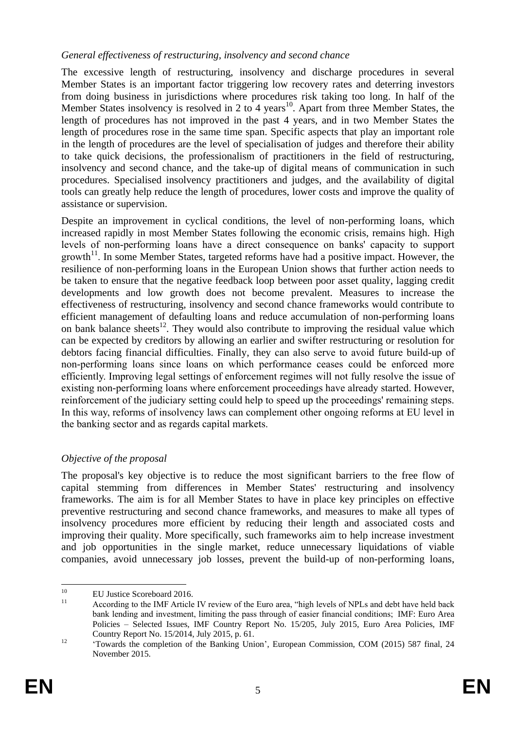#### *General effectiveness of restructuring, insolvency and second chance*

The excessive length of restructuring, insolvency and discharge procedures in several Member States is an important factor triggering low recovery rates and deterring investors from doing business in jurisdictions where procedures risk taking too long. In half of the Member States insolvency is resolved in 2 to 4 years<sup>10</sup>. Apart from three Member States, the length of procedures has not improved in the past 4 years, and in two Member States the length of procedures rose in the same time span. Specific aspects that play an important role in the length of procedures are the level of specialisation of judges and therefore their ability to take quick decisions, the professionalism of practitioners in the field of restructuring, insolvency and second chance, and the take-up of digital means of communication in such procedures. Specialised insolvency practitioners and judges, and the availability of digital tools can greatly help reduce the length of procedures, lower costs and improve the quality of assistance or supervision.

Despite an improvement in cyclical conditions, the level of non-performing loans, which increased rapidly in most Member States following the economic crisis, remains high. High levels of non-performing loans have a direct consequence on banks' capacity to support growth $11$ . In some Member States, targeted reforms have had a positive impact. However, the resilience of non-performing loans in the European Union shows that further action needs to be taken to ensure that the negative feedback loop between poor asset quality, lagging credit developments and low growth does not become prevalent. Measures to increase the effectiveness of restructuring, insolvency and second chance frameworks would contribute to efficient management of defaulting loans and reduce accumulation of non-performing loans on bank balance sheets<sup>12</sup>. They would also contribute to improving the residual value which can be expected by creditors by allowing an earlier and swifter restructuring or resolution for debtors facing financial difficulties. Finally, they can also serve to avoid future build-up of non-performing loans since loans on which performance ceases could be enforced more efficiently. Improving legal settings of enforcement regimes will not fully resolve the issue of existing non-performing loans where enforcement proceedings have already started. However, reinforcement of the judiciary setting could help to speed up the proceedings' remaining steps. In this way, reforms of insolvency laws can complement other ongoing reforms at EU level in the banking sector and as regards capital markets.

## *Objective of the proposal*

The proposal's key objective is to reduce the most significant barriers to the free flow of capital stemming from differences in Member States' restructuring and insolvency frameworks. The aim is for all Member States to have in place key principles on effective preventive restructuring and second chance frameworks, and measures to make all types of insolvency procedures more efficient by reducing their length and associated costs and improving their quality. More specifically, such frameworks aim to help increase investment and job opportunities in the single market, reduce unnecessary liquidations of viable companies, avoid unnecessary job losses, prevent the build-up of non-performing loans,

 $10$  $^{10}$  EU Justice Scoreboard 2016.

According to the IMF Article IV review of the Euro area, "high levels of NPLs and debt have held back bank lending and investment, limiting the pass through of easier financial conditions; IMF: Euro Area Policies – Selected Issues, IMF Country Report No. 15/205, July 2015, Euro Area Policies, IMF Country Report No. 15/2014, July 2015, p. 61.

<sup>&</sup>lt;sup>12</sup> Towards the completion of the Banking Union', European Commission, COM (2015) 587 final, 24 November 2015.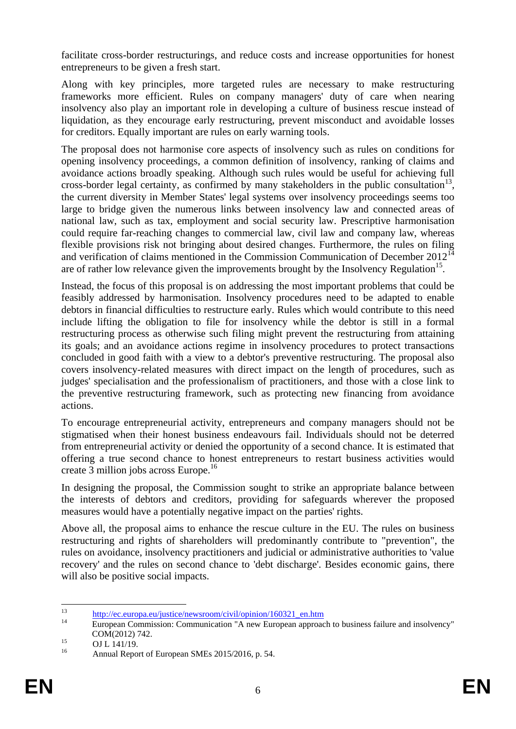facilitate cross-border restructurings, and reduce costs and increase opportunities for honest entrepreneurs to be given a fresh start.

Along with key principles, more targeted rules are necessary to make restructuring frameworks more efficient. Rules on company managers' duty of care when nearing insolvency also play an important role in developing a culture of business rescue instead of liquidation, as they encourage early restructuring, prevent misconduct and avoidable losses for creditors. Equally important are rules on early warning tools.

The proposal does not harmonise core aspects of insolvency such as rules on conditions for opening insolvency proceedings, a common definition of insolvency, ranking of claims and avoidance actions broadly speaking. Although such rules would be useful for achieving full cross-border legal certainty, as confirmed by many stakeholders in the public consultation<sup>13</sup>, the current diversity in Member States' legal systems over insolvency proceedings seems too large to bridge given the numerous links between insolvency law and connected areas of national law, such as tax, employment and social security law. Prescriptive harmonisation could require far-reaching changes to commercial law, civil law and company law, whereas flexible provisions risk not bringing about desired changes. Furthermore, the rules on filing and verification of claims mentioned in the Commission Communication of December  $2012^{14}$ are of rather low relevance given the improvements brought by the Insolvency Regulation<sup>15</sup>.

Instead, the focus of this proposal is on addressing the most important problems that could be feasibly addressed by harmonisation. Insolvency procedures need to be adapted to enable debtors in financial difficulties to restructure early. Rules which would contribute to this need include lifting the obligation to file for insolvency while the debtor is still in a formal restructuring process as otherwise such filing might prevent the restructuring from attaining its goals; and an avoidance actions regime in insolvency procedures to protect transactions concluded in good faith with a view to a debtor's preventive restructuring. The proposal also covers insolvency-related measures with direct impact on the length of procedures, such as judges' specialisation and the professionalism of practitioners, and those with a close link to the preventive restructuring framework, such as protecting new financing from avoidance actions.

To encourage entrepreneurial activity, entrepreneurs and company managers should not be stigmatised when their honest business endeavours fail. Individuals should not be deterred from entrepreneurial activity or denied the opportunity of a second chance. It is estimated that offering a true second chance to honest entrepreneurs to restart business activities would create 3 million jobs across Europe.<sup>16</sup>

In designing the proposal, the Commission sought to strike an appropriate balance between the interests of debtors and creditors, providing for safeguards wherever the proposed measures would have a potentially negative impact on the parties' rights.

Above all, the proposal aims to enhance the rescue culture in the EU. The rules on business restructuring and rights of shareholders will predominantly contribute to "prevention", the rules on avoidance, insolvency practitioners and judicial or administrative authorities to 'value recovery' and the rules on second chance to 'debt discharge'. Besides economic gains, there will also be positive social impacts.

 $13$  $\frac{13}{14}$  [http://ec.europa.eu/justice/newsroom/civil/opinion/160321\\_en.htm](http://ec.europa.eu/justice/newsroom/civil/opinion/160321_en.htm)

<sup>14</sup> European Commission: Communication "A new European approach to business failure and insolvency" COM(2012) 742.

 $^{15}$  OJ L 141/19.

Annual Report of European SMEs 2015/2016, p. 54.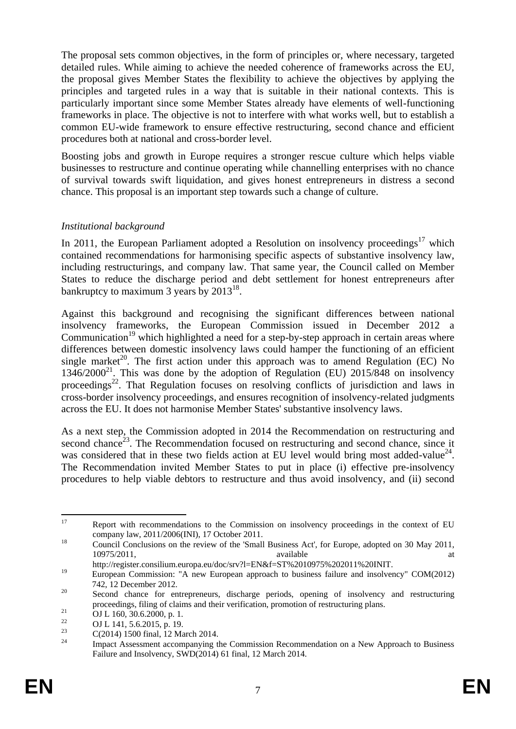The proposal sets common objectives, in the form of principles or, where necessary, targeted detailed rules. While aiming to achieve the needed coherence of frameworks across the EU, the proposal gives Member States the flexibility to achieve the objectives by applying the principles and targeted rules in a way that is suitable in their national contexts. This is particularly important since some Member States already have elements of well-functioning frameworks in place. The objective is not to interfere with what works well, but to establish a common EU-wide framework to ensure effective restructuring, second chance and efficient procedures both at national and cross-border level.

Boosting jobs and growth in Europe requires a stronger rescue culture which helps viable businesses to restructure and continue operating while channelling enterprises with no chance of survival towards swift liquidation, and gives honest entrepreneurs in distress a second chance. This proposal is an important step towards such a change of culture.

#### *Institutional background*

In 2011, the European Parliament adopted a Resolution on insolvency proceedings $17$  which contained recommendations for harmonising specific aspects of substantive insolvency law, including restructurings, and company law. That same year, the Council called on Member States to reduce the discharge period and debt settlement for honest entrepreneurs after bankruptcy to maximum 3 years by  $2013^{18}$ .

Against this background and recognising the significant differences between national insolvency frameworks, the European Commission issued in December 2012 a Communication<sup>19</sup> which highlighted a need for a step-by-step approach in certain areas where differences between domestic insolvency laws could hamper the functioning of an efficient single market<sup>20</sup>. The first action under this approach was to amend Regulation (EC) No  $1346/2000^{21}$ . This was done by the adoption of Regulation (EU) 2015/848 on insolvency proceedings<sup>22</sup>. That Regulation focuses on resolving conflicts of jurisdiction and laws in cross-border insolvency proceedings, and ensures recognition of insolvency-related judgments across the EU. It does not harmonise Member States' substantive insolvency laws.

As a next step, the Commission adopted in 2014 the Recommendation on restructuring and second chance<sup>23</sup>. The Recommendation focused on restructuring and second chance, since it was considered that in these two fields action at EU level would bring most added-value<sup>24</sup>. The Recommendation invited Member States to put in place (i) effective pre-insolvency procedures to help viable debtors to restructure and thus avoid insolvency, and (ii) second

<sup>17</sup> Report with recommendations to the Commission on insolvency proceedings in the context of EU company law, 2011/2006(INI), 17 October 2011.

<sup>&</sup>lt;sup>18</sup> Council Conclusions on the review of the 'Small Business Act', for Europe, adopted on 30 May 2011, 10975/2011, available at

http://register.consilium.europa.eu/doc/srv?l=EN&f=ST%2010975%202011%20INIT.

<sup>&</sup>lt;sup>19</sup> European Commission: "A new European approach to business failure and insolvency" COM(2012) 742, 12 December 2012.

<sup>&</sup>lt;sup>20</sup> Second chance for entrepreneurs, discharge periods, opening of insolvency and restructuring proceedings, filing of claims and their verification, promotion of restructuring plans.

<sup>&</sup>lt;sup>21</sup> OJ L 160, 30.6.2000, p. 1.<br><sup>22</sup> OJ L 141, 5.6.2015, 10

<sup>&</sup>lt;sup>22</sup> OJ L 141, 5.6.2015, p. 19.

 $\frac{23}{24}$  C(2014) 1500 final, 12 March 2014.

Impact Assessment accompanying the Commission Recommendation on a New Approach to Business Failure and Insolvency, SWD(2014) 61 final, 12 March 2014.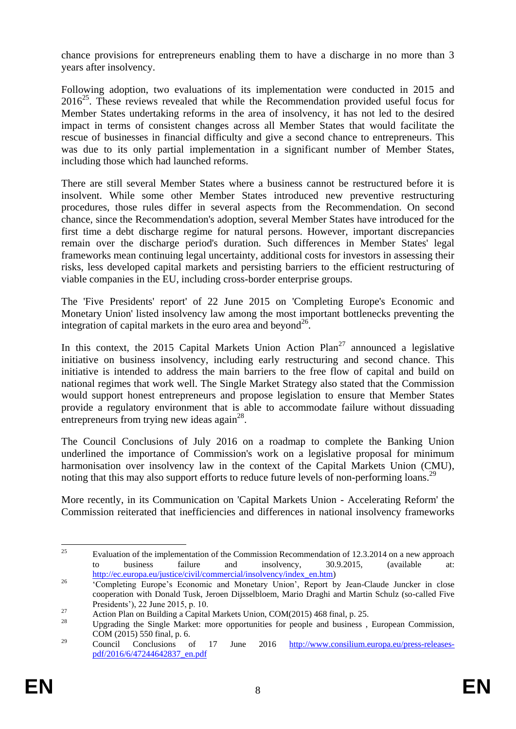chance provisions for entrepreneurs enabling them to have a discharge in no more than 3 years after insolvency.

Following adoption, two evaluations of its implementation were conducted in 2015 and  $2016^{25}$ . These reviews revealed that while the Recommendation provided useful focus for Member States undertaking reforms in the area of insolvency, it has not led to the desired impact in terms of consistent changes across all Member States that would facilitate the rescue of businesses in financial difficulty and give a second chance to entrepreneurs. This was due to its only partial implementation in a significant number of Member States, including those which had launched reforms.

There are still several Member States where a business cannot be restructured before it is insolvent. While some other Member States introduced new preventive restructuring procedures, those rules differ in several aspects from the Recommendation. On second chance, since the Recommendation's adoption, several Member States have introduced for the first time a debt discharge regime for natural persons. However, important discrepancies remain over the discharge period's duration. Such differences in Member States' legal frameworks mean continuing legal uncertainty, additional costs for investors in assessing their risks, less developed capital markets and persisting barriers to the efficient restructuring of viable companies in the EU, including cross-border enterprise groups.

The 'Five Presidents' report' of 22 June 2015 on 'Completing Europe's Economic and Monetary Union' listed insolvency law among the most important bottlenecks preventing the integration of capital markets in the euro area and beyond<sup>26</sup>.

In this context, the 2015 Capital Markets Union Action  $Plan^{27}$  announced a legislative initiative on business insolvency, including early restructuring and second chance. This initiative is intended to address the main barriers to the free flow of capital and build on national regimes that work well. The Single Market Strategy also stated that the Commission would support honest entrepreneurs and propose legislation to ensure that Member States provide a regulatory environment that is able to accommodate failure without dissuading entrepreneurs from trying new ideas  $\alpha$  again<sup>28</sup>.

The Council Conclusions of July 2016 on a roadmap to complete the Banking Union underlined the importance of Commission's work on a legislative proposal for minimum harmonisation over insolvency law in the context of the Capital Markets Union (CMU), noting that this may also support efforts to reduce future levels of non-performing loans.<sup>29</sup>

More recently, in its Communication on 'Capital Markets Union - Accelerating Reform' the Commission reiterated that inefficiencies and differences in national insolvency frameworks

<sup>25</sup> <sup>25</sup> Evaluation of the implementation of the Commission Recommendation of 12.3.2014 on a new approach to business failure and insolvency, 30.9.2015, (available at: [http://ec.europa.eu/justice/civil/commercial/insolvency/index\\_en.htm\)](http://ec.europa.eu/justice/civil/commercial/insolvency/index_en.htm)

<sup>&</sup>lt;sup>26</sup> <sup>26</sup> <sup>Completing Europe's Economic and Monetary Union', Report by Jean-Claude Juncker in close</sup> cooperation with Donald Tusk, Jeroen Dijsselbloem, Mario Draghi and Martin Schulz (so-called Five Presidents'), 22 June 2015, p. 10.

<sup>&</sup>lt;sup>27</sup> Action Plan on Building a Capital Markets Union, COM(2015) 468 final, p. 25.

<sup>28</sup> Upgrading the Single Market: more opportunities for people and business , European Commission, COM (2015) 550 final, p. 6.

<sup>&</sup>lt;sup>29</sup> Council Conclusions of 17 June 2016 [http://www.consilium.europa.eu/press-releases](http://www.consilium.europa.eu/press-releases-pdf/2016/6/47244642837_en.pdf)[pdf/2016/6/47244642837\\_en.pdf](http://www.consilium.europa.eu/press-releases-pdf/2016/6/47244642837_en.pdf)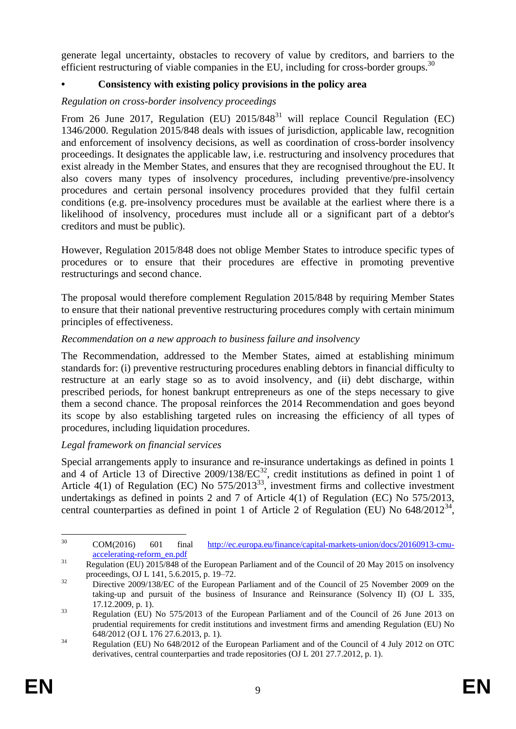generate legal uncertainty, obstacles to recovery of value by creditors, and barriers to the efficient restructuring of viable companies in the EU, including for cross-border groups.<sup>30</sup>

## **• Consistency with existing policy provisions in the policy area**

### *Regulation on cross-border insolvency proceedings*

From 26 June 2017, Regulation (EU)  $2015/848^{31}$  will replace Council Regulation (EC) 1346/2000. Regulation 2015/848 deals with issues of jurisdiction, applicable law, recognition and enforcement of insolvency decisions, as well as coordination of cross-border insolvency proceedings. It designates the applicable law, i.e. restructuring and insolvency procedures that exist already in the Member States, and ensures that they are recognised throughout the EU. It also covers many types of insolvency procedures, including preventive/pre-insolvency procedures and certain personal insolvency procedures provided that they fulfil certain conditions (e.g. pre-insolvency procedures must be available at the earliest where there is a likelihood of insolvency, procedures must include all or a significant part of a debtor's creditors and must be public).

However, Regulation 2015/848 does not oblige Member States to introduce specific types of procedures or to ensure that their procedures are effective in promoting preventive restructurings and second chance.

The proposal would therefore complement Regulation 2015/848 by requiring Member States to ensure that their national preventive restructuring procedures comply with certain minimum principles of effectiveness.

#### *Recommendation on a new approach to business failure and insolvency*

The Recommendation, addressed to the Member States, aimed at establishing minimum standards for: (i) preventive restructuring procedures enabling debtors in financial difficulty to restructure at an early stage so as to avoid insolvency, and (ii) debt discharge, within prescribed periods, for honest bankrupt entrepreneurs as one of the steps necessary to give them a second chance. The proposal reinforces the 2014 Recommendation and goes beyond its scope by also establishing targeted rules on increasing the efficiency of all types of procedures, including liquidation procedures.

## *Legal framework on financial services*

Special arrangements apply to insurance and re-insurance undertakings as defined in points 1 and 4 of Article 13 of Directive  $2009/138/EC^{32}$ , credit institutions as defined in point 1 of Article  $4(1)$  of Regulation (EC) No  $575/2013^{33}$ , investment firms and collective investment undertakings as defined in points 2 and 7 of Article 4(1) of Regulation (EC) No 575/2013, central counterparties as defined in point 1 of Article 2 of Regulation (EU) No  $648/2012^{34}$ ,

<sup>30</sup> <sup>30</sup> COM(2016) 601 final [http://ec.europa.eu/finance/capital-markets-union/docs/20160913-cmu](http://ec.europa.eu/finance/capital-markets-union/docs/20160913-cmu-accelerating-reform_en.pdf)[accelerating-reform\\_en.pdf](http://ec.europa.eu/finance/capital-markets-union/docs/20160913-cmu-accelerating-reform_en.pdf)

<sup>&</sup>lt;sup>31</sup> Regulation (EU) 2015/848 of the European Parliament and of the Council of 20 May 2015 on insolvency proceedings, OJ L 141, 5.6.2015, p. 19–72.

<sup>&</sup>lt;sup>32</sup> Directive 2009/138/EC of the European Parliament and of the Council of 25 November 2009 on the taking-up and pursuit of the business of Insurance and Reinsurance (Solvency II) (OJ L 335, 17.12.2009, p. 1).

<sup>&</sup>lt;sup>33</sup> Regulation (EU) No 575/2013 of the European Parliament and of the Council of 26 June 2013 on prudential requirements for credit institutions and investment firms and amending Regulation (EU) No 648/2012 (OJ L 176 27.6.2013, p. 1).

<sup>&</sup>lt;sup>34</sup> Regulation (EU) No 648/2012 of the European Parliament and of the Council of 4 July 2012 on OTC derivatives, central counterparties and trade repositories (OJ L 201 27.7.2012, p. 1).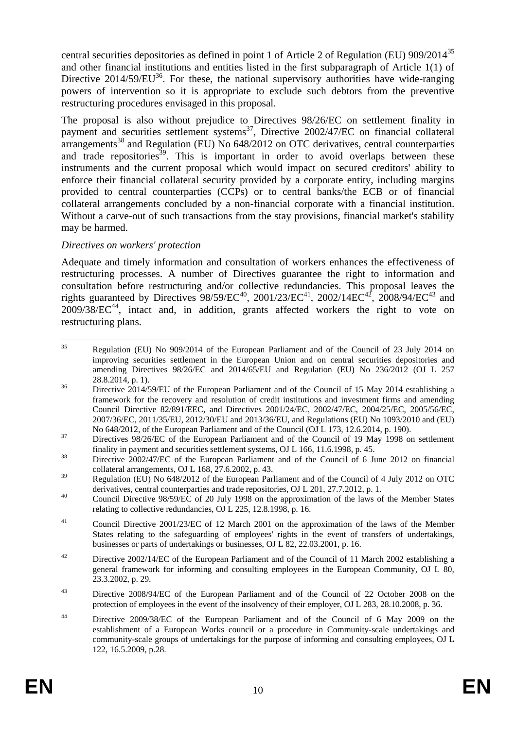central securities depositories as defined in point 1 of Article 2 of Regulation (EU) 909/2014<sup>35</sup> and other financial institutions and entities listed in the first subparagraph of Article 1(1) of Directive  $2014/59/EU^{36}$ . For these, the national supervisory authorities have wide-ranging powers of intervention so it is appropriate to exclude such debtors from the preventive restructuring procedures envisaged in this proposal.

The proposal is also without prejudice to Directives 98/26/EC on settlement finality in payment and securities settlement systems<sup>37</sup>, Directive  $2002/47/EC$  on financial collateral  $\arctan$  arrangements<sup>38</sup> and Regulation (EU) No 648/2012 on OTC derivatives, central counterparties and trade repositories<sup>39</sup>. This is important in order to avoid overlaps between these instruments and the current proposal which would impact on secured creditors' ability to enforce their financial collateral security provided by a corporate entity, including margins provided to central counterparties (CCPs) or to central banks/the ECB or of financial collateral arrangements concluded by a non-financial corporate with a financial institution. Without a carve-out of such transactions from the stay provisions, financial market's stability may be harmed.

## *Directives on workers' protection*

Adequate and timely information and consultation of workers enhances the effectiveness of restructuring processes. A number of Directives guarantee the right to information and consultation before restructuring and/or collective redundancies. This proposal leaves the rights guaranteed by Directives  $98/59/EC^{40}$ ,  $2001/23/EC^{41}$ ,  $2002/14EC^{42}$ ,  $2008/94/EC^{43}$  and  $2009/38/EC^{44}$ , intact and, in addition, grants affected workers the right to vote on restructuring plans.

 $35$ <sup>35</sup> Regulation (EU) No 909/2014 of the European Parliament and of the Council of 23 July 2014 on improving securities settlement in the European Union and on central securities depositories and amending Directives 98/26/EC and 2014/65/EU and Regulation (EU) No 236/2012 (OJ L 257 28.8.2014, p. 1).

<sup>&</sup>lt;sup>36</sup> Directive 2014/59/EU of the European Parliament and of the Council of 15 May 2014 establishing a framework for the recovery and resolution of credit institutions and investment firms and amending Council Directive 82/891/EEC, and Directives 2001/24/EC, 2002/47/EC, 2004/25/EC, 2005/56/EC, 2007/36/EC, 2011/35/EU, 2012/30/EU and 2013/36/EU, and Regulations (EU) No 1093/2010 and (EU) No 648/2012, of the European Parliament and of the Council (OJ L 173, 12.6.2014, p. 190).

<sup>&</sup>lt;sup>37</sup> Directives 98/26/EC of the European Parliament and of the Council of 19 May 1998 on settlement finality in payment and securities settlement systems, OJ L 166, 11.6.1998, p. 45.

<sup>&</sup>lt;sup>38</sup> Directive 2002/47/EC of the European Parliament and of the Council of 6 June 2012 on financial collateral arrangements, OJ L 168, 27.6.2002, p. 43.

<sup>&</sup>lt;sup>39</sup> Regulation (EU) No 648/2012 of the European Parliament and of the Council of 4 July 2012 on OTC derivatives, central counterparties and trade repositories, OJ L 201, 27.7.2012, p. 1.

<sup>&</sup>lt;sup>40</sup> Council Directive 98/59/EC of 20 July 1998 on the approximation of the laws of the Member States relating to collective redundancies, OJ L 225, 12.8.1998, p. 16.

<sup>&</sup>lt;sup>41</sup> Council Directive 2001/23/EC of 12 March 2001 on the approximation of the laws of the Member States relating to the safeguarding of employees' rights in the event of transfers of undertakings, businesses or parts of undertakings or businesses, OJ L 82, 22.03.2001, p. 16.

<sup>&</sup>lt;sup>42</sup> Directive 2002/14/EC of the European Parliament and of the Council of 11 March 2002 establishing a general framework for informing and consulting employees in the European Community, OJ L 80, 23.3.2002, p. 29.

<sup>&</sup>lt;sup>43</sup> Directive 2008/94/EC of the European Parliament and of the Council of 22 October 2008 on the protection of employees in the event of the insolvency of their employer, OJ L 283, 28.10.2008, p. 36.

<sup>44</sup> Directive 2009/38/EC of the European Parliament and of the Council of 6 May 2009 on the establishment of a European Works council or a procedure in Community-scale undertakings and community-scale groups of undertakings for the purpose of informing and consulting employees, OJ L 122, 16.5.2009, p.28.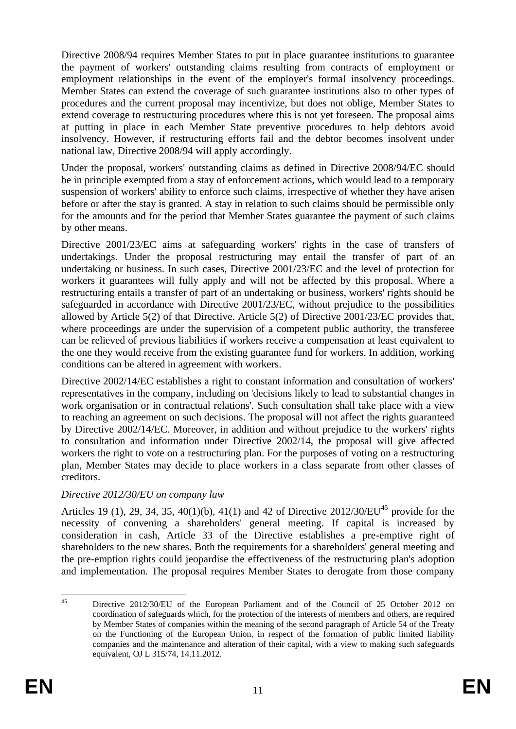Directive 2008/94 requires Member States to put in place guarantee institutions to guarantee the payment of workers' outstanding claims resulting from contracts of employment or employment relationships in the event of the employer's formal insolvency proceedings. Member States can extend the coverage of such guarantee institutions also to other types of procedures and the current proposal may incentivize, but does not oblige, Member States to extend coverage to restructuring procedures where this is not yet foreseen. The proposal aims at putting in place in each Member State preventive procedures to help debtors avoid insolvency. However, if restructuring efforts fail and the debtor becomes insolvent under national law, Directive 2008/94 will apply accordingly.

Under the proposal, workers' outstanding claims as defined in Directive 2008/94/EC should be in principle exempted from a stay of enforcement actions, which would lead to a temporary suspension of workers' ability to enforce such claims, irrespective of whether they have arisen before or after the stay is granted. A stay in relation to such claims should be permissible only for the amounts and for the period that Member States guarantee the payment of such claims by other means.

Directive 2001/23/EC aims at safeguarding workers' rights in the case of transfers of undertakings. Under the proposal restructuring may entail the transfer of part of an undertaking or business. In such cases, Directive 2001/23/EC and the level of protection for workers it guarantees will fully apply and will not be affected by this proposal. Where a restructuring entails a transfer of part of an undertaking or business, workers' rights should be safeguarded in accordance with Directive 2001/23/EC, without prejudice to the possibilities allowed by Article 5(2) of that Directive. Article 5(2) of Directive 2001/23/EC provides that, where proceedings are under the supervision of a competent public authority, the transferee can be relieved of previous liabilities if workers receive a compensation at least equivalent to the one they would receive from the existing guarantee fund for workers. In addition, working conditions can be altered in agreement with workers.

Directive 2002/14/EC establishes a right to constant information and consultation of workers' representatives in the company, including on 'decisions likely to lead to substantial changes in work organisation or in contractual relations'. Such consultation shall take place with a view to reaching an agreement on such decisions. The proposal will not affect the rights guaranteed by Directive 2002/14/EC. Moreover, in addition and without prejudice to the workers' rights to consultation and information under Directive 2002/14, the proposal will give affected workers the right to vote on a restructuring plan. For the purposes of voting on a restructuring plan, Member States may decide to place workers in a class separate from other classes of creditors.

## *Directive 2012/30/EU on company law*

Articles 19 (1), 29, 34, 35, 40(1)(b), 41(1) and 42 of Directive  $2012/30/EU^{45}$  provide for the necessity of convening a shareholders' general meeting. If capital is increased by consideration in cash, Article 33 of the Directive establishes a pre-emptive right of shareholders to the new shares. Both the requirements for a shareholders' general meeting and the pre-emption rights could jeopardise the effectiveness of the restructuring plan's adoption and implementation. The proposal requires Member States to derogate from those company

 $45$ <sup>45</sup> Directive 2012/30/EU of the European Parliament and of the Council of 25 October 2012 on coordination of safeguards which, for the protection of the interests of members and others, are required by Member States of companies within the meaning of the second paragraph of Article 54 of the Treaty on the Functioning of the European Union, in respect of the formation of public limited liability companies and the maintenance and alteration of their capital, with a view to making such safeguards equivalent, OJ L 315/74, 14.11.2012.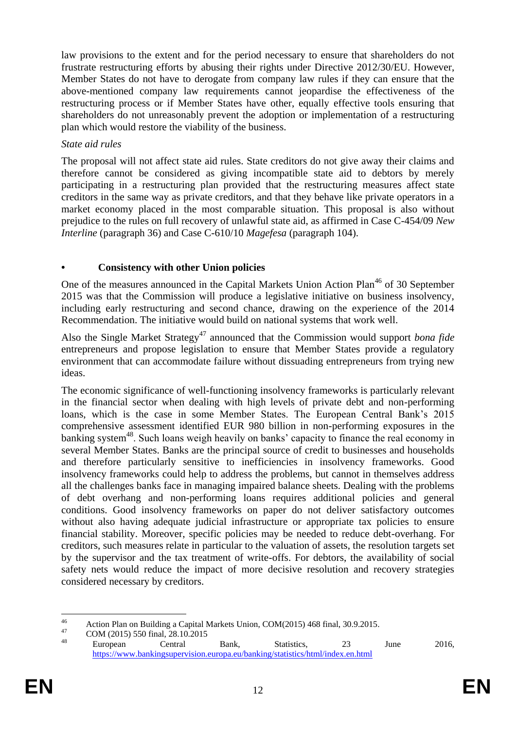law provisions to the extent and for the period necessary to ensure that shareholders do not frustrate restructuring efforts by abusing their rights under Directive 2012/30/EU. However, Member States do not have to derogate from company law rules if they can ensure that the above-mentioned company law requirements cannot jeopardise the effectiveness of the restructuring process or if Member States have other, equally effective tools ensuring that shareholders do not unreasonably prevent the adoption or implementation of a restructuring plan which would restore the viability of the business.

#### *State aid rules*

The proposal will not affect state aid rules. State creditors do not give away their claims and therefore cannot be considered as giving incompatible state aid to debtors by merely participating in a restructuring plan provided that the restructuring measures affect state creditors in the same way as private creditors, and that they behave like private operators in a market economy placed in the most comparable situation. This proposal is also without prejudice to the rules on full recovery of unlawful state aid, as affirmed in Case C-454/09 *New Interline* (paragraph 36) and Case C-610/10 *Magefesa* (paragraph 104).

#### **• Consistency with other Union policies**

One of the measures announced in the Capital Markets Union Action Plan<sup>46</sup> of 30 September 2015 was that the Commission will produce a legislative initiative on business insolvency, including early restructuring and second chance, drawing on the experience of the 2014 Recommendation. The initiative would build on national systems that work well.

Also the Single Market Strategy<sup>47</sup> announced that the Commission would support *bona fide* entrepreneurs and propose legislation to ensure that Member States provide a regulatory environment that can accommodate failure without dissuading entrepreneurs from trying new ideas.

The economic significance of well-functioning insolvency frameworks is particularly relevant in the financial sector when dealing with high levels of private debt and non-performing loans, which is the case in some Member States. The European Central Bank's 2015 comprehensive assessment identified EUR 980 billion in non-performing exposures in the banking system<sup>48</sup>. Such loans weigh heavily on banks' capacity to finance the real economy in several Member States. Banks are the principal source of credit to businesses and households and therefore particularly sensitive to inefficiencies in insolvency frameworks. Good insolvency frameworks could help to address the problems, but cannot in themselves address all the challenges banks face in managing impaired balance sheets. Dealing with the problems of debt overhang and non-performing loans requires additional policies and general conditions. Good insolvency frameworks on paper do not deliver satisfactory outcomes without also having adequate judicial infrastructure or appropriate tax policies to ensure financial stability. Moreover, specific policies may be needed to reduce debt-overhang. For creditors, such measures relate in particular to the valuation of assets, the resolution targets set by the supervisor and the tax treatment of write-offs. For debtors, the availability of social safety nets would reduce the impact of more decisive resolution and recovery strategies considered necessary by creditors.

 $46$ 46 Action Plan on Building a Capital Markets Union, COM(2015) 468 final, 30.9.2015.

 $^{47}$  COM (2015) 550 final, 28.10.2015

<sup>&</sup>lt;sup>48</sup> European Central Bank, Statistics, 23 June 2016, <https://www.bankingsupervision.europa.eu/banking/statistics/html/index.en.html>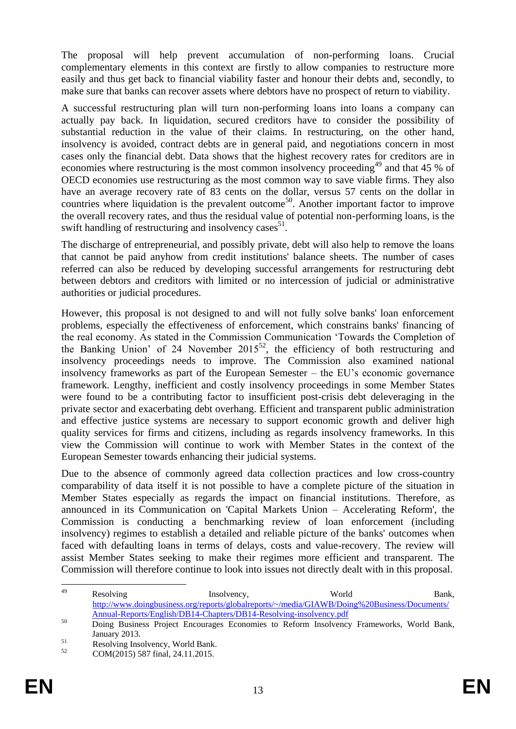The proposal will help prevent accumulation of non-performing loans. Crucial complementary elements in this context are firstly to allow companies to restructure more easily and thus get back to financial viability faster and honour their debts and, secondly, to make sure that banks can recover assets where debtors have no prospect of return to viability.

A successful restructuring plan will turn non-performing loans into loans a company can actually pay back. In liquidation, secured creditors have to consider the possibility of substantial reduction in the value of their claims. In restructuring, on the other hand, insolvency is avoided, contract debts are in general paid, and negotiations concern in most cases only the financial debt. Data shows that the highest recovery rates for creditors are in economies where restructuring is the most common insolvency proceeding<sup>49</sup> and that 45 % of OECD economies use restructuring as the most common way to save viable firms. They also have an average recovery rate of 83 cents on the dollar, versus 57 cents on the dollar in countries where liquidation is the prevalent outcome<sup>50</sup>. Another important factor to improve the overall recovery rates, and thus the residual value of potential non-performing loans, is the swift handling of restructuring and insolvency cases<sup>51</sup>.

The discharge of entrepreneurial, and possibly private, debt will also help to remove the loans that cannot be paid anyhow from credit institutions' balance sheets. The number of cases referred can also be reduced by developing successful arrangements for restructuring debt between debtors and creditors with limited or no intercession of judicial or administrative authorities or judicial procedures.

However, this proposal is not designed to and will not fully solve banks' loan enforcement problems, especially the effectiveness of enforcement, which constrains banks' financing of the real economy. As stated in the Commission Communication 'Towards the Completion of the Banking Union' of 24 November 2015<sup>52</sup>, the efficiency of both restructuring and insolvency proceedings needs to improve. The Commission also examined national insolvency frameworks as part of the European Semester – the EU's economic governance framework. Lengthy, inefficient and costly insolvency proceedings in some Member States were found to be a contributing factor to insufficient post-crisis debt deleveraging in the private sector and exacerbating debt overhang. Efficient and transparent public administration and effective justice systems are necessary to support economic growth and deliver high quality services for firms and citizens, including as regards insolvency frameworks. In this view the Commission will continue to work with Member States in the context of the European Semester towards enhancing their judicial systems.

Due to the absence of commonly agreed data collection practices and low cross-country comparability of data itself it is not possible to have a complete picture of the situation in Member States especially as regards the impact on financial institutions. Therefore, as announced in its Communication on 'Capital Markets Union – Accelerating Reform', the Commission is conducting a benchmarking review of loan enforcement (including insolvency) regimes to establish a detailed and reliable picture of the banks' outcomes when faced with defaulting loans in terms of delays, costs and value-recovery. The review will assist Member States seeking to make their regimes more efficient and transparent. The Commission will therefore continue to look into issues not directly dealt with in this proposal.

<sup>49</sup> <sup>49</sup> Resolving Insolvency, World Bank, [http://www.doingbusiness.org/reports/globalreports/~/media/GIAWB/Doing%20Business/Documents/](http://www.doingbusiness.org/reports/globalreports/~/media/GIAWB/Doing%20Business/Documents/Annual-Reports/English/DB14-Chapters/DB14-Resolving-insolvency.pdf) [Annual-Reports/English/DB14-Chapters/DB14-Resolving-insolvency.pdf](http://www.doingbusiness.org/reports/globalreports/~/media/GIAWB/Doing%20Business/Documents/Annual-Reports/English/DB14-Chapters/DB14-Resolving-insolvency.pdf)

<sup>&</sup>lt;sup>50</sup> Doing Business Project Encourages Economies to Reform Insolvency Frameworks, World Bank, January 2013.

<sup>&</sup>lt;sup>51</sup><br>Resolving Insolvency, World Bank.<br>COM (2015) 597 5 1 24.11.2015

<sup>52</sup> COM(2015) 587 final, 24.11.2015.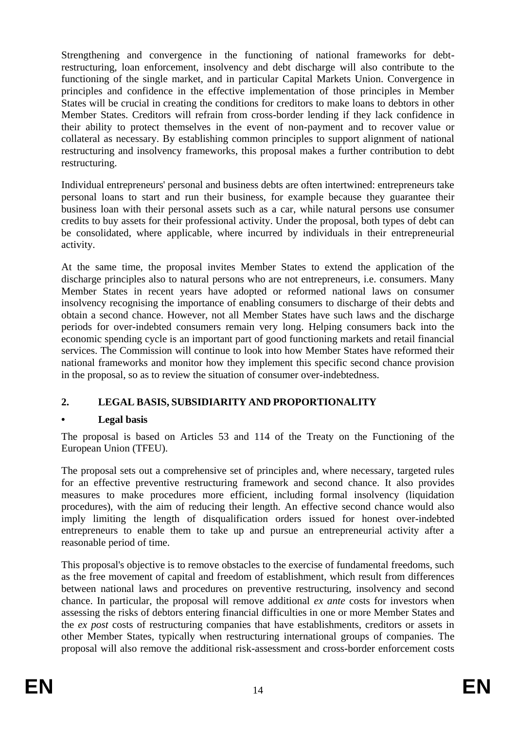Strengthening and convergence in the functioning of national frameworks for debtrestructuring, loan enforcement, insolvency and debt discharge will also contribute to the functioning of the single market, and in particular Capital Markets Union. Convergence in principles and confidence in the effective implementation of those principles in Member States will be crucial in creating the conditions for creditors to make loans to debtors in other Member States. Creditors will refrain from cross-border lending if they lack confidence in their ability to protect themselves in the event of non-payment and to recover value or collateral as necessary. By establishing common principles to support alignment of national restructuring and insolvency frameworks, this proposal makes a further contribution to debt restructuring.

Individual entrepreneurs' personal and business debts are often intertwined: entrepreneurs take personal loans to start and run their business, for example because they guarantee their business loan with their personal assets such as a car, while natural persons use consumer credits to buy assets for their professional activity. Under the proposal, both types of debt can be consolidated, where applicable, where incurred by individuals in their entrepreneurial activity.

At the same time, the proposal invites Member States to extend the application of the discharge principles also to natural persons who are not entrepreneurs, i.e. consumers. Many Member States in recent years have adopted or reformed national laws on consumer insolvency recognising the importance of enabling consumers to discharge of their debts and obtain a second chance. However, not all Member States have such laws and the discharge periods for over-indebted consumers remain very long. Helping consumers back into the economic spending cycle is an important part of good functioning markets and retail financial services. The Commission will continue to look into how Member States have reformed their national frameworks and monitor how they implement this specific second chance provision in the proposal, so as to review the situation of consumer over-indebtedness.

## **2. LEGAL BASIS, SUBSIDIARITY AND PROPORTIONALITY**

## **• Legal basis**

The proposal is based on Articles 53 and 114 of the Treaty on the Functioning of the European Union (TFEU).

The proposal sets out a comprehensive set of principles and, where necessary, targeted rules for an effective preventive restructuring framework and second chance. It also provides measures to make procedures more efficient, including formal insolvency (liquidation procedures), with the aim of reducing their length. An effective second chance would also imply limiting the length of disqualification orders issued for honest over-indebted entrepreneurs to enable them to take up and pursue an entrepreneurial activity after a reasonable period of time.

This proposal's objective is to remove obstacles to the exercise of fundamental freedoms, such as the free movement of capital and freedom of establishment, which result from differences between national laws and procedures on preventive restructuring, insolvency and second chance. In particular, the proposal will remove additional *ex ante* costs for investors when assessing the risks of debtors entering financial difficulties in one or more Member States and the *ex post* costs of restructuring companies that have establishments, creditors or assets in other Member States, typically when restructuring international groups of companies. The proposal will also remove the additional risk-assessment and cross-border enforcement costs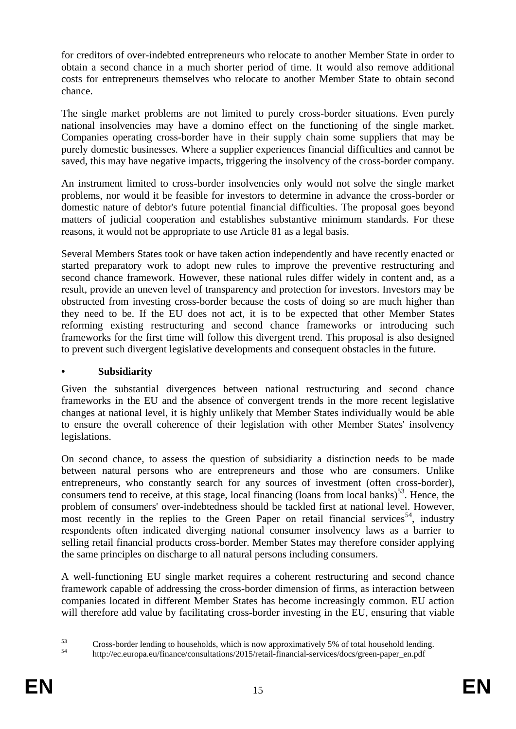for creditors of over-indebted entrepreneurs who relocate to another Member State in order to obtain a second chance in a much shorter period of time. It would also remove additional costs for entrepreneurs themselves who relocate to another Member State to obtain second chance.

The single market problems are not limited to purely cross-border situations. Even purely national insolvencies may have a domino effect on the functioning of the single market. Companies operating cross-border have in their supply chain some suppliers that may be purely domestic businesses. Where a supplier experiences financial difficulties and cannot be saved, this may have negative impacts, triggering the insolvency of the cross-border company.

An instrument limited to cross-border insolvencies only would not solve the single market problems, nor would it be feasible for investors to determine in advance the cross-border or domestic nature of debtor's future potential financial difficulties. The proposal goes beyond matters of judicial cooperation and establishes substantive minimum standards. For these reasons, it would not be appropriate to use Article 81 as a legal basis.

Several Members States took or have taken action independently and have recently enacted or started preparatory work to adopt new rules to improve the preventive restructuring and second chance framework. However, these national rules differ widely in content and, as a result, provide an uneven level of transparency and protection for investors. Investors may be obstructed from investing cross-border because the costs of doing so are much higher than they need to be. If the EU does not act, it is to be expected that other Member States reforming existing restructuring and second chance frameworks or introducing such frameworks for the first time will follow this divergent trend. This proposal is also designed to prevent such divergent legislative developments and consequent obstacles in the future.

## **• Subsidiarity**

Given the substantial divergences between national restructuring and second chance frameworks in the EU and the absence of convergent trends in the more recent legislative changes at national level, it is highly unlikely that Member States individually would be able to ensure the overall coherence of their legislation with other Member States' insolvency legislations.

On second chance, to assess the question of subsidiarity a distinction needs to be made between natural persons who are entrepreneurs and those who are consumers. Unlike entrepreneurs, who constantly search for any sources of investment (often cross-border), consumers tend to receive, at this stage, local financing (loans from local banks)<sup>53</sup>. Hence, the problem of consumers' over-indebtedness should be tackled first at national level. However, most recently in the replies to the Green Paper on retail financial services<sup>54</sup>, industry respondents often indicated diverging national consumer insolvency laws as a barrier to selling retail financial products cross-border. Member States may therefore consider applying the same principles on discharge to all natural persons including consumers.

A well-functioning EU single market requires a coherent restructuring and second chance framework capable of addressing the cross-border dimension of firms, as interaction between companies located in different Member States has become increasingly common. EU action will therefore add value by facilitating cross-border investing in the EU, ensuring that viable

<sup>53</sup>  $53$  Cross-border lending to households, which is now approximatively 5% of total household lending.

<sup>54</sup> http://ec.europa.eu/finance/consultations/2015/retail-financial-services/docs/green-paper\_en.pdf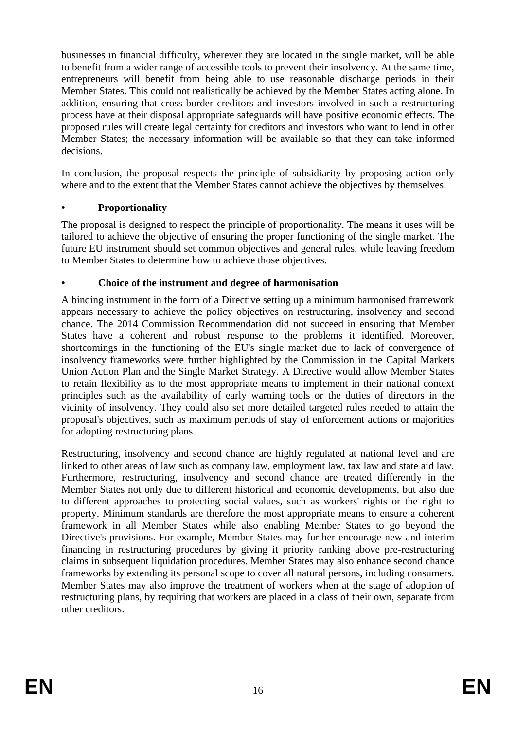businesses in financial difficulty, wherever they are located in the single market, will be able to benefit from a wider range of accessible tools to prevent their insolvency. At the same time, entrepreneurs will benefit from being able to use reasonable discharge periods in their Member States. This could not realistically be achieved by the Member States acting alone. In addition, ensuring that cross-border creditors and investors involved in such a restructuring process have at their disposal appropriate safeguards will have positive economic effects. The proposed rules will create legal certainty for creditors and investors who want to lend in other Member States; the necessary information will be available so that they can take informed decisions.

In conclusion, the proposal respects the principle of subsidiarity by proposing action only where and to the extent that the Member States cannot achieve the objectives by themselves.

## **• Proportionality**

The proposal is designed to respect the principle of proportionality. The means it uses will be tailored to achieve the objective of ensuring the proper functioning of the single market. The future EU instrument should set common objectives and general rules, while leaving freedom to Member States to determine how to achieve those objectives.

## **• Choice of the instrument and degree of harmonisation**

A binding instrument in the form of a Directive setting up a minimum harmonised framework appears necessary to achieve the policy objectives on restructuring, insolvency and second chance. The 2014 Commission Recommendation did not succeed in ensuring that Member States have a coherent and robust response to the problems it identified. Moreover, shortcomings in the functioning of the EU's single market due to lack of convergence of insolvency frameworks were further highlighted by the Commission in the Capital Markets Union Action Plan and the Single Market Strategy. A Directive would allow Member States to retain flexibility as to the most appropriate means to implement in their national context principles such as the availability of early warning tools or the duties of directors in the vicinity of insolvency. They could also set more detailed targeted rules needed to attain the proposal's objectives, such as maximum periods of stay of enforcement actions or majorities for adopting restructuring plans.

Restructuring, insolvency and second chance are highly regulated at national level and are linked to other areas of law such as company law, employment law, tax law and state aid law. Furthermore, restructuring, insolvency and second chance are treated differently in the Member States not only due to different historical and economic developments, but also due to different approaches to protecting social values, such as workers' rights or the right to property. Minimum standards are therefore the most appropriate means to ensure a coherent framework in all Member States while also enabling Member States to go beyond the Directive's provisions. For example, Member States may further encourage new and interim financing in restructuring procedures by giving it priority ranking above pre-restructuring claims in subsequent liquidation procedures. Member States may also enhance second chance frameworks by extending its personal scope to cover all natural persons, including consumers. Member States may also improve the treatment of workers when at the stage of adoption of restructuring plans, by requiring that workers are placed in a class of their own, separate from other creditors.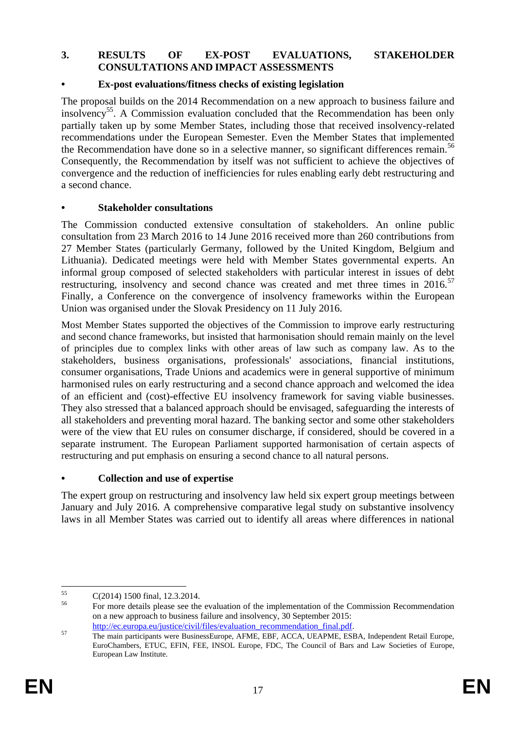#### **3. RESULTS OF EX-POST EVALUATIONS, STAKEHOLDER CONSULTATIONS AND IMPACT ASSESSMENTS**

### **• Ex-post evaluations/fitness checks of existing legislation**

The proposal builds on the 2014 Recommendation on a new approach to business failure and insolvency<sup>55</sup>. A Commission evaluation concluded that the Recommendation has been only partially taken up by some Member States, including those that received insolvency-related recommendations under the European Semester. Even the Member States that implemented the Recommendation have done so in a selective manner, so significant differences remain.<sup>56</sup> Consequently, the Recommendation by itself was not sufficient to achieve the objectives of convergence and the reduction of inefficiencies for rules enabling early debt restructuring and a second chance.

#### **• Stakeholder consultations**

The Commission conducted extensive consultation of stakeholders. An online public consultation from 23 March 2016 to 14 June 2016 received more than 260 contributions from 27 Member States (particularly Germany, followed by the United Kingdom, Belgium and Lithuania). Dedicated meetings were held with Member States governmental experts. An informal group composed of selected stakeholders with particular interest in issues of debt restructuring, insolvency and second chance was created and met three times in  $2016$ .<sup>57</sup> Finally, a Conference on the convergence of insolvency frameworks within the European Union was organised under the Slovak Presidency on 11 July 2016.

Most Member States supported the objectives of the Commission to improve early restructuring and second chance frameworks, but insisted that harmonisation should remain mainly on the level of principles due to complex links with other areas of law such as company law. As to the stakeholders, business organisations, professionals' associations, financial institutions, consumer organisations, Trade Unions and academics were in general supportive of minimum harmonised rules on early restructuring and a second chance approach and welcomed the idea of an efficient and (cost)-effective EU insolvency framework for saving viable businesses. They also stressed that a balanced approach should be envisaged, safeguarding the interests of all stakeholders and preventing moral hazard. The banking sector and some other stakeholders were of the view that EU rules on consumer discharge, if considered, should be covered in a separate instrument. The European Parliament supported harmonisation of certain aspects of restructuring and put emphasis on ensuring a second chance to all natural persons.

## **• Collection and use of expertise**

The expert group on restructuring and insolvency law held six expert group meetings between January and July 2016. A comprehensive comparative legal study on substantive insolvency laws in all Member States was carried out to identify all areas where differences in national

<sup>55</sup>  $\frac{55}{56}$  C(2014) 1500 final, 12.3.2014.

<sup>56</sup> For more details please see the evaluation of the implementation of the Commission Recommendation on a new approach to business failure and insolvency, 30 September 2015: [http://ec.europa.eu/justice/civil/files/evaluation\\_recommendation\\_final.pdf.](http://ec.europa.eu/justice/civil/files/evaluation_recommendation_final.pdf)

<sup>&</sup>lt;sup>57</sup> The main participants were BusinessEurope, AFME, EBF, ACCA, UEAPME, ESBA, Independent Retail Europe, EuroChambers, ETUC, EFIN, FEE, INSOL Europe, FDC, The Council of Bars and Law Societies of Europe, European Law Institute.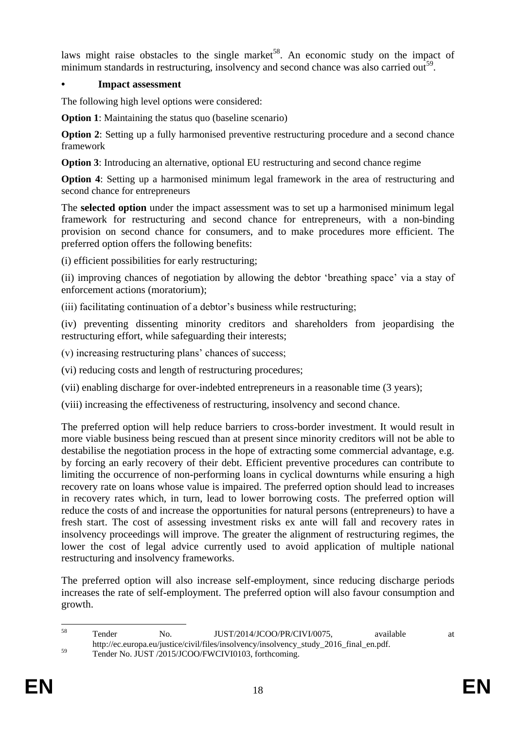laws might raise obstacles to the single market<sup>58</sup>. An economic study on the impact of minimum standards in restructuring, insolvency and second chance was also carried out<sup>59</sup>.

## **• Impact assessment**

The following high level options were considered:

**Option 1**: Maintaining the status quo (baseline scenario)

**Option 2**: Setting up a fully harmonised preventive restructuring procedure and a second chance framework

**Option 3**: Introducing an alternative, optional EU restructuring and second chance regime

**Option 4:** Setting up a harmonised minimum legal framework in the area of restructuring and second chance for entrepreneurs

The **selected option** under the impact assessment was to set up a harmonised minimum legal framework for restructuring and second chance for entrepreneurs, with a non-binding provision on second chance for consumers, and to make procedures more efficient. The preferred option offers the following benefits:

(i) efficient possibilities for early restructuring;

(ii) improving chances of negotiation by allowing the debtor 'breathing space' via a stay of enforcement actions (moratorium);

(iii) facilitating continuation of a debtor's business while restructuring;

(iv) preventing dissenting minority creditors and shareholders from jeopardising the restructuring effort, while safeguarding their interests;

(v) increasing restructuring plans' chances of success;

(vi) reducing costs and length of restructuring procedures;

(vii) enabling discharge for over-indebted entrepreneurs in a reasonable time (3 years);

(viii) increasing the effectiveness of restructuring, insolvency and second chance.

The preferred option will help reduce barriers to cross-border investment. It would result in more viable business being rescued than at present since minority creditors will not be able to destabilise the negotiation process in the hope of extracting some commercial advantage, e.g. by forcing an early recovery of their debt. Efficient preventive procedures can contribute to limiting the occurrence of non-performing loans in cyclical downturns while ensuring a high recovery rate on loans whose value is impaired. The preferred option should lead to increases in recovery rates which, in turn, lead to lower borrowing costs. The preferred option will reduce the costs of and increase the opportunities for natural persons (entrepreneurs) to have a fresh start. The cost of assessing investment risks ex ante will fall and recovery rates in insolvency proceedings will improve. The greater the alignment of restructuring regimes, the lower the cost of legal advice currently used to avoid application of multiple national restructuring and insolvency frameworks.

The preferred option will also increase self-employment, since reducing discharge periods increases the rate of self-employment. The preferred option will also favour consumption and growth.

 $58$ Tender No. JUST/2014/JCOO/PR/CIVI/0075, available at http://ec.europa.eu/justice/civil/files/insolvency/insolvency\_study\_2016\_final\_en.pdf. <sup>59</sup> Tender No. JUST /2015/JCOO/FWCIVI0103, forthcoming.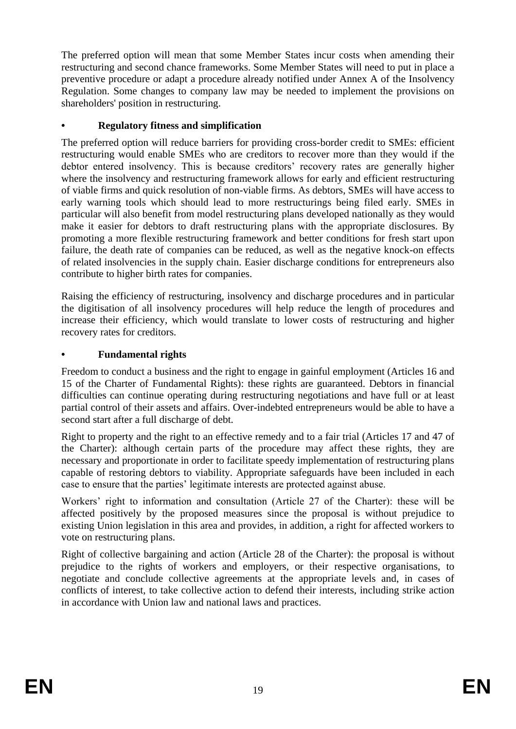The preferred option will mean that some Member States incur costs when amending their restructuring and second chance frameworks. Some Member States will need to put in place a preventive procedure or adapt a procedure already notified under Annex A of the Insolvency Regulation. Some changes to company law may be needed to implement the provisions on shareholders' position in restructuring.

## **• Regulatory fitness and simplification**

The preferred option will reduce barriers for providing cross-border credit to SMEs: efficient restructuring would enable SMEs who are creditors to recover more than they would if the debtor entered insolvency. This is because creditors' recovery rates are generally higher where the insolvency and restructuring framework allows for early and efficient restructuring of viable firms and quick resolution of non-viable firms. As debtors, SMEs will have access to early warning tools which should lead to more restructurings being filed early. SMEs in particular will also benefit from model restructuring plans developed nationally as they would make it easier for debtors to draft restructuring plans with the appropriate disclosures. By promoting a more flexible restructuring framework and better conditions for fresh start upon failure, the death rate of companies can be reduced, as well as the negative knock-on effects of related insolvencies in the supply chain. Easier discharge conditions for entrepreneurs also contribute to higher birth rates for companies.

Raising the efficiency of restructuring, insolvency and discharge procedures and in particular the digitisation of all insolvency procedures will help reduce the length of procedures and increase their efficiency, which would translate to lower costs of restructuring and higher recovery rates for creditors.

## **• Fundamental rights**

Freedom to conduct a business and the right to engage in gainful employment (Articles 16 and 15 of the Charter of Fundamental Rights): these rights are guaranteed. Debtors in financial difficulties can continue operating during restructuring negotiations and have full or at least partial control of their assets and affairs. Over-indebted entrepreneurs would be able to have a second start after a full discharge of debt.

Right to property and the right to an effective remedy and to a fair trial (Articles 17 and 47 of the Charter): although certain parts of the procedure may affect these rights, they are necessary and proportionate in order to facilitate speedy implementation of restructuring plans capable of restoring debtors to viability. Appropriate safeguards have been included in each case to ensure that the parties' legitimate interests are protected against abuse.

Workers' right to information and consultation (Article 27 of the Charter): these will be affected positively by the proposed measures since the proposal is without prejudice to existing Union legislation in this area and provides, in addition, a right for affected workers to vote on restructuring plans.

Right of collective bargaining and action (Article 28 of the Charter): the proposal is without prejudice to the rights of workers and employers, or their respective organisations, to negotiate and conclude collective agreements at the appropriate levels and, in cases of conflicts of interest, to take collective action to defend their interests, including strike action in accordance with Union law and national laws and practices.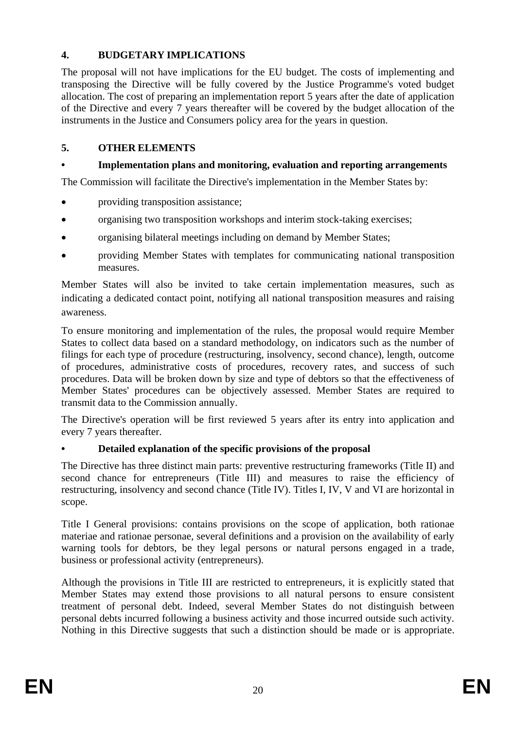## **4. BUDGETARY IMPLICATIONS**

The proposal will not have implications for the EU budget. The costs of implementing and transposing the Directive will be fully covered by the Justice Programme's voted budget allocation. The cost of preparing an implementation report 5 years after the date of application of the Directive and every 7 years thereafter will be covered by the budget allocation of the instruments in the Justice and Consumers policy area for the years in question.

## **5. OTHER ELEMENTS**

## **• Implementation plans and monitoring, evaluation and reporting arrangements**

The Commission will facilitate the Directive's implementation in the Member States by:

- providing transposition assistance;
- organising two transposition workshops and interim stock-taking exercises;
- organising bilateral meetings including on demand by Member States;
- providing Member States with templates for communicating national transposition measures.

Member States will also be invited to take certain implementation measures, such as indicating a dedicated contact point, notifying all national transposition measures and raising awareness.

To ensure monitoring and implementation of the rules, the proposal would require Member States to collect data based on a standard methodology, on indicators such as the number of filings for each type of procedure (restructuring, insolvency, second chance), length, outcome of procedures, administrative costs of procedures, recovery rates, and success of such procedures. Data will be broken down by size and type of debtors so that the effectiveness of Member States' procedures can be objectively assessed. Member States are required to transmit data to the Commission annually.

The Directive's operation will be first reviewed 5 years after its entry into application and every 7 years thereafter.

## **• Detailed explanation of the specific provisions of the proposal**

The Directive has three distinct main parts: preventive restructuring frameworks (Title II) and second chance for entrepreneurs (Title III) and measures to raise the efficiency of restructuring, insolvency and second chance (Title IV). Titles I, IV, V and VI are horizontal in scope.

Title I General provisions: contains provisions on the scope of application, both rationae materiae and rationae personae, several definitions and a provision on the availability of early warning tools for debtors, be they legal persons or natural persons engaged in a trade, business or professional activity (entrepreneurs).

Although the provisions in Title III are restricted to entrepreneurs, it is explicitly stated that Member States may extend those provisions to all natural persons to ensure consistent treatment of personal debt. Indeed, several Member States do not distinguish between personal debts incurred following a business activity and those incurred outside such activity. Nothing in this Directive suggests that such a distinction should be made or is appropriate.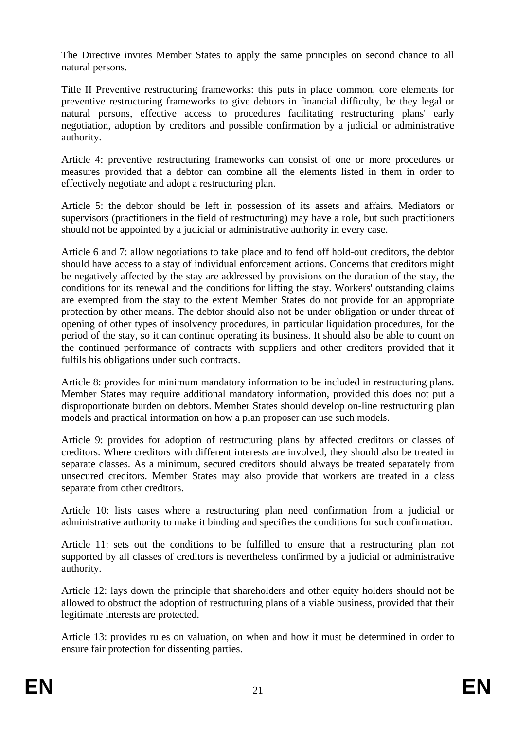The Directive invites Member States to apply the same principles on second chance to all natural persons.

Title II Preventive restructuring frameworks: this puts in place common, core elements for preventive restructuring frameworks to give debtors in financial difficulty, be they legal or natural persons, effective access to procedures facilitating restructuring plans' early negotiation, adoption by creditors and possible confirmation by a judicial or administrative authority.

Article 4: preventive restructuring frameworks can consist of one or more procedures or measures provided that a debtor can combine all the elements listed in them in order to effectively negotiate and adopt a restructuring plan.

Article 5: the debtor should be left in possession of its assets and affairs. Mediators or supervisors (practitioners in the field of restructuring) may have a role, but such practitioners should not be appointed by a judicial or administrative authority in every case.

Article 6 and 7: allow negotiations to take place and to fend off hold-out creditors, the debtor should have access to a stay of individual enforcement actions. Concerns that creditors might be negatively affected by the stay are addressed by provisions on the duration of the stay, the conditions for its renewal and the conditions for lifting the stay. Workers' outstanding claims are exempted from the stay to the extent Member States do not provide for an appropriate protection by other means. The debtor should also not be under obligation or under threat of opening of other types of insolvency procedures, in particular liquidation procedures, for the period of the stay, so it can continue operating its business. It should also be able to count on the continued performance of contracts with suppliers and other creditors provided that it fulfils his obligations under such contracts.

Article 8: provides for minimum mandatory information to be included in restructuring plans. Member States may require additional mandatory information, provided this does not put a disproportionate burden on debtors. Member States should develop on-line restructuring plan models and practical information on how a plan proposer can use such models.

Article 9: provides for adoption of restructuring plans by affected creditors or classes of creditors. Where creditors with different interests are involved, they should also be treated in separate classes. As a minimum, secured creditors should always be treated separately from unsecured creditors. Member States may also provide that workers are treated in a class separate from other creditors.

Article 10: lists cases where a restructuring plan need confirmation from a judicial or administrative authority to make it binding and specifies the conditions for such confirmation.

Article 11: sets out the conditions to be fulfilled to ensure that a restructuring plan not supported by all classes of creditors is nevertheless confirmed by a judicial or administrative authority.

Article 12: lays down the principle that shareholders and other equity holders should not be allowed to obstruct the adoption of restructuring plans of a viable business, provided that their legitimate interests are protected.

Article 13: provides rules on valuation, on when and how it must be determined in order to ensure fair protection for dissenting parties.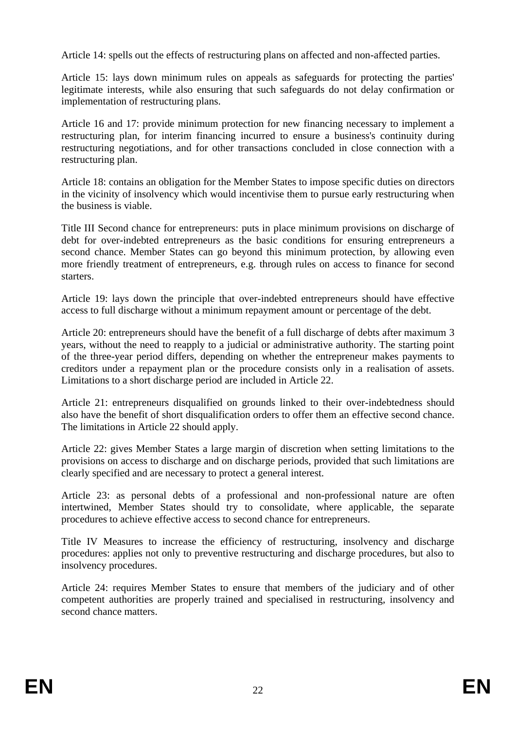Article 14: spells out the effects of restructuring plans on affected and non-affected parties.

Article 15: lays down minimum rules on appeals as safeguards for protecting the parties' legitimate interests, while also ensuring that such safeguards do not delay confirmation or implementation of restructuring plans.

Article 16 and 17: provide minimum protection for new financing necessary to implement a restructuring plan, for interim financing incurred to ensure a business's continuity during restructuring negotiations, and for other transactions concluded in close connection with a restructuring plan.

Article 18: contains an obligation for the Member States to impose specific duties on directors in the vicinity of insolvency which would incentivise them to pursue early restructuring when the business is viable.

Title III Second chance for entrepreneurs: puts in place minimum provisions on discharge of debt for over-indebted entrepreneurs as the basic conditions for ensuring entrepreneurs a second chance. Member States can go beyond this minimum protection, by allowing even more friendly treatment of entrepreneurs, e.g. through rules on access to finance for second starters.

Article 19: lays down the principle that over-indebted entrepreneurs should have effective access to full discharge without a minimum repayment amount or percentage of the debt.

Article 20: entrepreneurs should have the benefit of a full discharge of debts after maximum 3 years, without the need to reapply to a judicial or administrative authority. The starting point of the three-year period differs, depending on whether the entrepreneur makes payments to creditors under a repayment plan or the procedure consists only in a realisation of assets. Limitations to a short discharge period are included in Article 22.

Article 21: entrepreneurs disqualified on grounds linked to their over-indebtedness should also have the benefit of short disqualification orders to offer them an effective second chance. The limitations in Article 22 should apply.

Article 22: gives Member States a large margin of discretion when setting limitations to the provisions on access to discharge and on discharge periods, provided that such limitations are clearly specified and are necessary to protect a general interest.

Article 23: as personal debts of a professional and non-professional nature are often intertwined, Member States should try to consolidate, where applicable, the separate procedures to achieve effective access to second chance for entrepreneurs.

Title IV Measures to increase the efficiency of restructuring, insolvency and discharge procedures: applies not only to preventive restructuring and discharge procedures, but also to insolvency procedures.

Article 24: requires Member States to ensure that members of the judiciary and of other competent authorities are properly trained and specialised in restructuring, insolvency and second chance matters.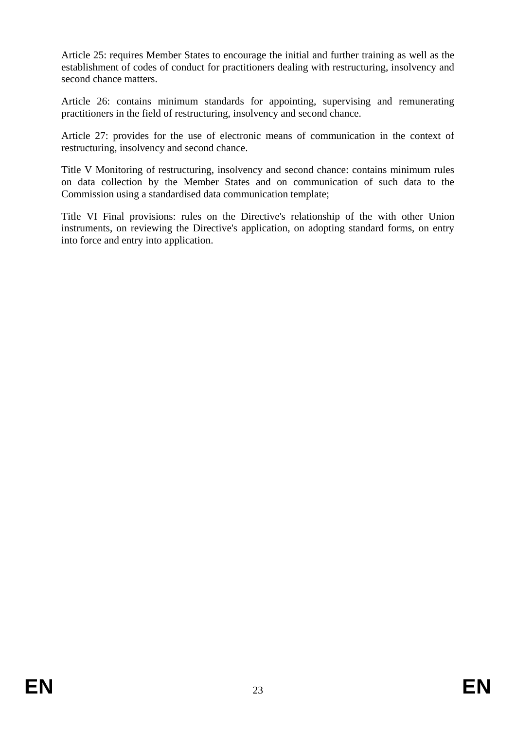Article 25: requires Member States to encourage the initial and further training as well as the establishment of codes of conduct for practitioners dealing with restructuring, insolvency and second chance matters.

Article 26: contains minimum standards for appointing, supervising and remunerating practitioners in the field of restructuring, insolvency and second chance.

Article 27: provides for the use of electronic means of communication in the context of restructuring, insolvency and second chance.

Title V Monitoring of restructuring, insolvency and second chance: contains minimum rules on data collection by the Member States and on communication of such data to the Commission using a standardised data communication template;

Title VI Final provisions: rules on the Directive's relationship of the with other Union instruments, on reviewing the Directive's application, on adopting standard forms, on entry into force and entry into application.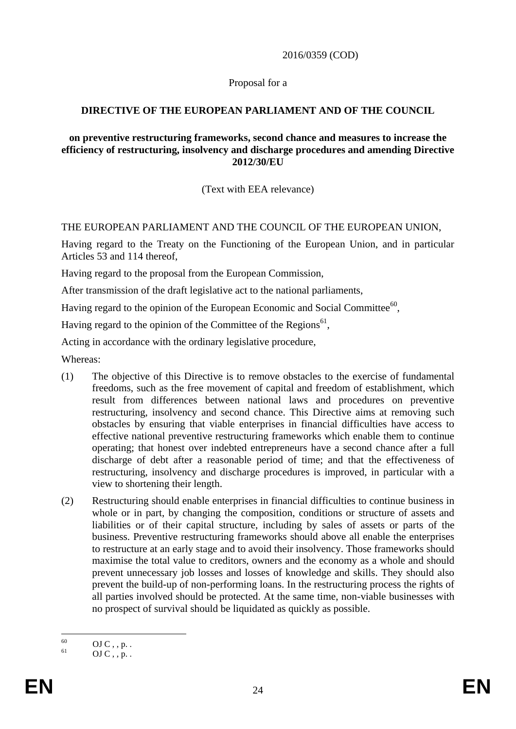2016/0359 (COD)

Proposal for a

### **DIRECTIVE OF THE EUROPEAN PARLIAMENT AND OF THE COUNCIL**

#### **on preventive restructuring frameworks, second chance and measures to increase the efficiency of restructuring, insolvency and discharge procedures and amending Directive 2012/30/EU**

(Text with EEA relevance)

#### THE EUROPEAN PARLIAMENT AND THE COUNCIL OF THE EUROPEAN UNION,

Having regard to the Treaty on the Functioning of the European Union, and in particular Articles 53 and 114 thereof,

Having regard to the proposal from the European Commission,

After transmission of the draft legislative act to the national parliaments,

Having regard to the opinion of the European Economic and Social Committee $^{60}$ ,

Having regard to the opinion of the Committee of the Regions<sup>61</sup>,

Acting in accordance with the ordinary legislative procedure,

Whereas:

- (1) The objective of this Directive is to remove obstacles to the exercise of fundamental freedoms, such as the free movement of capital and freedom of establishment, which result from differences between national laws and procedures on preventive restructuring, insolvency and second chance. This Directive aims at removing such obstacles by ensuring that viable enterprises in financial difficulties have access to effective national preventive restructuring frameworks which enable them to continue operating; that honest over indebted entrepreneurs have a second chance after a full discharge of debt after a reasonable period of time; and that the effectiveness of restructuring, insolvency and discharge procedures is improved, in particular with a view to shortening their length.
- (2) Restructuring should enable enterprises in financial difficulties to continue business in whole or in part, by changing the composition, conditions or structure of assets and liabilities or of their capital structure, including by sales of assets or parts of the business. Preventive restructuring frameworks should above all enable the enterprises to restructure at an early stage and to avoid their insolvency. Those frameworks should maximise the total value to creditors, owners and the economy as a whole and should prevent unnecessary job losses and losses of knowledge and skills. They should also prevent the build-up of non-performing loans. In the restructuring process the rights of all parties involved should be protected. At the same time, non-viable businesses with no prospect of survival should be liquidated as quickly as possible.

<sup>60</sup>  $^{60}_{61}$  OJ C, , p. .

 $OJ C$ , , p. .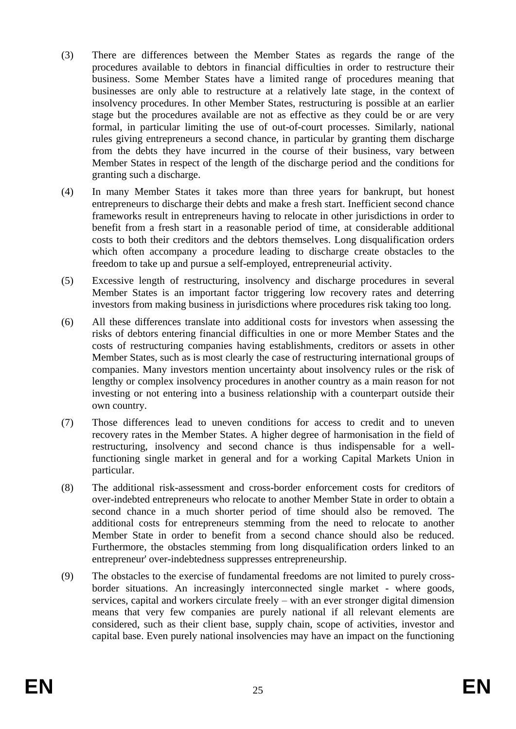- (3) There are differences between the Member States as regards the range of the procedures available to debtors in financial difficulties in order to restructure their business. Some Member States have a limited range of procedures meaning that businesses are only able to restructure at a relatively late stage, in the context of insolvency procedures. In other Member States, restructuring is possible at an earlier stage but the procedures available are not as effective as they could be or are very formal, in particular limiting the use of out-of-court processes. Similarly, national rules giving entrepreneurs a second chance, in particular by granting them discharge from the debts they have incurred in the course of their business, vary between Member States in respect of the length of the discharge period and the conditions for granting such a discharge.
- (4) In many Member States it takes more than three years for bankrupt, but honest entrepreneurs to discharge their debts and make a fresh start. Inefficient second chance frameworks result in entrepreneurs having to relocate in other jurisdictions in order to benefit from a fresh start in a reasonable period of time, at considerable additional costs to both their creditors and the debtors themselves. Long disqualification orders which often accompany a procedure leading to discharge create obstacles to the freedom to take up and pursue a self-employed, entrepreneurial activity.
- (5) Excessive length of restructuring, insolvency and discharge procedures in several Member States is an important factor triggering low recovery rates and deterring investors from making business in jurisdictions where procedures risk taking too long.
- (6) All these differences translate into additional costs for investors when assessing the risks of debtors entering financial difficulties in one or more Member States and the costs of restructuring companies having establishments, creditors or assets in other Member States, such as is most clearly the case of restructuring international groups of companies. Many investors mention uncertainty about insolvency rules or the risk of lengthy or complex insolvency procedures in another country as a main reason for not investing or not entering into a business relationship with a counterpart outside their own country.
- (7) Those differences lead to uneven conditions for access to credit and to uneven recovery rates in the Member States. A higher degree of harmonisation in the field of restructuring, insolvency and second chance is thus indispensable for a wellfunctioning single market in general and for a working Capital Markets Union in particular.
- (8) The additional risk-assessment and cross-border enforcement costs for creditors of over-indebted entrepreneurs who relocate to another Member State in order to obtain a second chance in a much shorter period of time should also be removed. The additional costs for entrepreneurs stemming from the need to relocate to another Member State in order to benefit from a second chance should also be reduced. Furthermore, the obstacles stemming from long disqualification orders linked to an entrepreneur' over-indebtedness suppresses entrepreneurship.
- (9) The obstacles to the exercise of fundamental freedoms are not limited to purely crossborder situations. An increasingly interconnected single market - where goods, services, capital and workers circulate freely – with an ever stronger digital dimension means that very few companies are purely national if all relevant elements are considered, such as their client base, supply chain, scope of activities, investor and capital base. Even purely national insolvencies may have an impact on the functioning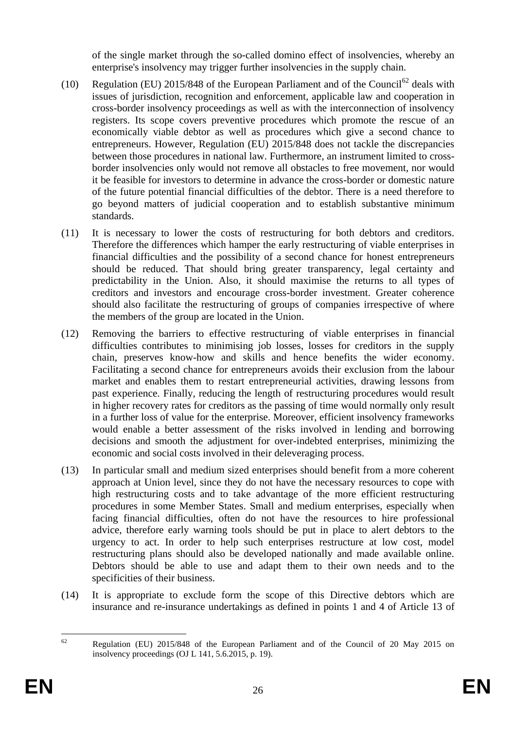of the single market through the so-called domino effect of insolvencies, whereby an enterprise's insolvency may trigger further insolvencies in the supply chain.

- (10) Regulation (EU)  $2015/848$  of the European Parliament and of the Council<sup>62</sup> deals with issues of jurisdiction, recognition and enforcement, applicable law and cooperation in cross-border insolvency proceedings as well as with the interconnection of insolvency registers. Its scope covers preventive procedures which promote the rescue of an economically viable debtor as well as procedures which give a second chance to entrepreneurs. However, Regulation (EU) 2015/848 does not tackle the discrepancies between those procedures in national law. Furthermore, an instrument limited to crossborder insolvencies only would not remove all obstacles to free movement, nor would it be feasible for investors to determine in advance the cross-border or domestic nature of the future potential financial difficulties of the debtor. There is a need therefore to go beyond matters of judicial cooperation and to establish substantive minimum standards.
- (11) It is necessary to lower the costs of restructuring for both debtors and creditors. Therefore the differences which hamper the early restructuring of viable enterprises in financial difficulties and the possibility of a second chance for honest entrepreneurs should be reduced. That should bring greater transparency, legal certainty and predictability in the Union. Also, it should maximise the returns to all types of creditors and investors and encourage cross-border investment. Greater coherence should also facilitate the restructuring of groups of companies irrespective of where the members of the group are located in the Union.
- (12) Removing the barriers to effective restructuring of viable enterprises in financial difficulties contributes to minimising job losses, losses for creditors in the supply chain, preserves know-how and skills and hence benefits the wider economy. Facilitating a second chance for entrepreneurs avoids their exclusion from the labour market and enables them to restart entrepreneurial activities, drawing lessons from past experience. Finally, reducing the length of restructuring procedures would result in higher recovery rates for creditors as the passing of time would normally only result in a further loss of value for the enterprise. Moreover, efficient insolvency frameworks would enable a better assessment of the risks involved in lending and borrowing decisions and smooth the adjustment for over-indebted enterprises, minimizing the economic and social costs involved in their deleveraging process.
- (13) In particular small and medium sized enterprises should benefit from a more coherent approach at Union level, since they do not have the necessary resources to cope with high restructuring costs and to take advantage of the more efficient restructuring procedures in some Member States. Small and medium enterprises, especially when facing financial difficulties, often do not have the resources to hire professional advice, therefore early warning tools should be put in place to alert debtors to the urgency to act. In order to help such enterprises restructure at low cost, model restructuring plans should also be developed nationally and made available online. Debtors should be able to use and adapt them to their own needs and to the specificities of their business.
- (14) It is appropriate to exclude form the scope of this Directive debtors which are insurance and re-insurance undertakings as defined in points 1 and 4 of Article 13 of

<sup>62</sup> <sup>62</sup> Regulation (EU) 2015/848 of the European Parliament and of the Council of 20 May 2015 on insolvency proceedings (OJ L 141, 5.6.2015, p. 19).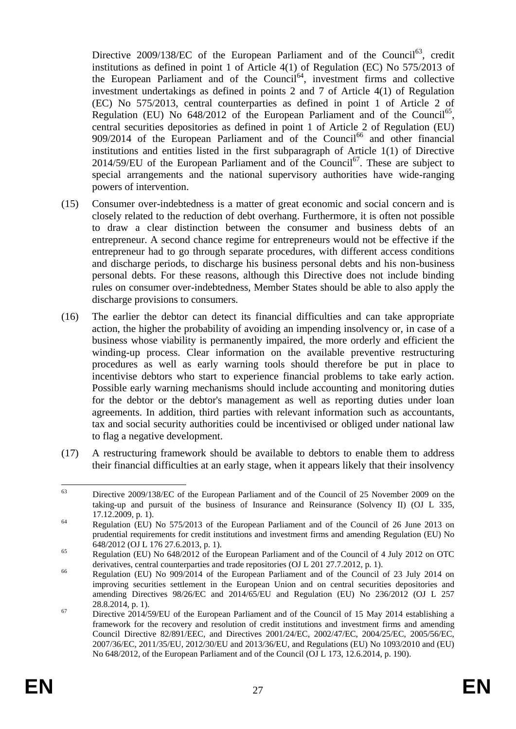Directive  $2009/138/EC$  of the European Parliament and of the Council<sup>63</sup>, credit institutions as defined in point 1 of Article 4(1) of Regulation (EC) No 575/2013 of the European Parliament and of the Council<sup>64</sup>, investment firms and collective investment undertakings as defined in points 2 and 7 of Article 4(1) of Regulation (EC) No 575/2013, central counterparties as defined in point 1 of Article 2 of Regulation (EU) No  $648/2012$  of the European Parliament and of the Council<sup>65</sup>, central securities depositories as defined in point 1 of Article 2 of Regulation (EU)  $909/2014$  of the European Parliament and of the Council<sup>66</sup> and other financial institutions and entities listed in the first subparagraph of Article 1(1) of Directive  $2014/59/EU$  of the European Parliament and of the Council<sup>67</sup>. These are subject to special arrangements and the national supervisory authorities have wide-ranging powers of intervention.

- (15) Consumer over-indebtedness is a matter of great economic and social concern and is closely related to the reduction of debt overhang. Furthermore, it is often not possible to draw a clear distinction between the consumer and business debts of an entrepreneur. A second chance regime for entrepreneurs would not be effective if the entrepreneur had to go through separate procedures, with different access conditions and discharge periods, to discharge his business personal debts and his non-business personal debts. For these reasons, although this Directive does not include binding rules on consumer over-indebtedness, Member States should be able to also apply the discharge provisions to consumers.
- (16) The earlier the debtor can detect its financial difficulties and can take appropriate action, the higher the probability of avoiding an impending insolvency or, in case of a business whose viability is permanently impaired, the more orderly and efficient the winding-up process. Clear information on the available preventive restructuring procedures as well as early warning tools should therefore be put in place to incentivise debtors who start to experience financial problems to take early action. Possible early warning mechanisms should include accounting and monitoring duties for the debtor or the debtor's management as well as reporting duties under loan agreements. In addition, third parties with relevant information such as accountants, tax and social security authorities could be incentivised or obliged under national law to flag a negative development.
- (17) A restructuring framework should be available to debtors to enable them to address their financial difficulties at an early stage, when it appears likely that their insolvency

<sup>63</sup> Directive 2009/138/EC of the European Parliament and of the Council of 25 November 2009 on the taking-up and pursuit of the business of Insurance and Reinsurance (Solvency II) (OJ L 335, 17.12.2009, p. 1).

<sup>&</sup>lt;sup>64</sup> Regulation (EU) No 575/2013 of the European Parliament and of the Council of 26 June 2013 on prudential requirements for credit institutions and investment firms and amending Regulation (EU) No 648/2012 (OJ L 176 27.6.2013, p. 1).

<sup>&</sup>lt;sup>65</sup> Regulation (EU) No 648/2012 of the European Parliament and of the Council of 4 July 2012 on OTC derivatives, central counterparties and trade repositories (OJ L 201 27.7.2012, p. 1).

<sup>&</sup>lt;sup>66</sup> Regulation (EU) No 909/2014 of the European Parliament and of the Council of 23 July 2014 on improving securities settlement in the European Union and on central securities depositories and amending Directives 98/26/EC and 2014/65/EU and Regulation (EU) No 236/2012 (OJ L 257 28.8.2014, p. 1).

 $^{67}$  Directive 2014/59/EU of the European Parliament and of the Council of 15 May 2014 establishing a framework for the recovery and resolution of credit institutions and investment firms and amending Council Directive 82/891/EEC, and Directives 2001/24/EC, 2002/47/EC, 2004/25/EC, 2005/56/EC, 2007/36/EC, 2011/35/EU, 2012/30/EU and 2013/36/EU, and Regulations (EU) No 1093/2010 and (EU) No 648/2012, of the European Parliament and of the Council (OJ L 173, 12.6.2014, p. 190).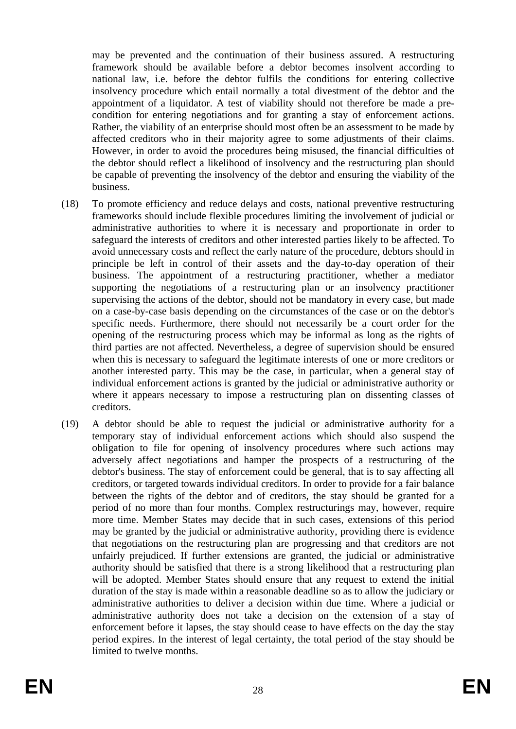may be prevented and the continuation of their business assured. A restructuring framework should be available before a debtor becomes insolvent according to national law, i.e. before the debtor fulfils the conditions for entering collective insolvency procedure which entail normally a total divestment of the debtor and the appointment of a liquidator. A test of viability should not therefore be made a precondition for entering negotiations and for granting a stay of enforcement actions. Rather, the viability of an enterprise should most often be an assessment to be made by affected creditors who in their majority agree to some adjustments of their claims. However, in order to avoid the procedures being misused, the financial difficulties of the debtor should reflect a likelihood of insolvency and the restructuring plan should be capable of preventing the insolvency of the debtor and ensuring the viability of the business.

- (18) To promote efficiency and reduce delays and costs, national preventive restructuring frameworks should include flexible procedures limiting the involvement of judicial or administrative authorities to where it is necessary and proportionate in order to safeguard the interests of creditors and other interested parties likely to be affected. To avoid unnecessary costs and reflect the early nature of the procedure, debtors should in principle be left in control of their assets and the day-to-day operation of their business. The appointment of a restructuring practitioner, whether a mediator supporting the negotiations of a restructuring plan or an insolvency practitioner supervising the actions of the debtor, should not be mandatory in every case, but made on a case-by-case basis depending on the circumstances of the case or on the debtor's specific needs. Furthermore, there should not necessarily be a court order for the opening of the restructuring process which may be informal as long as the rights of third parties are not affected. Nevertheless, a degree of supervision should be ensured when this is necessary to safeguard the legitimate interests of one or more creditors or another interested party. This may be the case, in particular, when a general stay of individual enforcement actions is granted by the judicial or administrative authority or where it appears necessary to impose a restructuring plan on dissenting classes of creditors.
- (19) A debtor should be able to request the judicial or administrative authority for a temporary stay of individual enforcement actions which should also suspend the obligation to file for opening of insolvency procedures where such actions may adversely affect negotiations and hamper the prospects of a restructuring of the debtor's business. The stay of enforcement could be general, that is to say affecting all creditors, or targeted towards individual creditors. In order to provide for a fair balance between the rights of the debtor and of creditors, the stay should be granted for a period of no more than four months. Complex restructurings may, however, require more time. Member States may decide that in such cases, extensions of this period may be granted by the judicial or administrative authority, providing there is evidence that negotiations on the restructuring plan are progressing and that creditors are not unfairly prejudiced. If further extensions are granted, the judicial or administrative authority should be satisfied that there is a strong likelihood that a restructuring plan will be adopted. Member States should ensure that any request to extend the initial duration of the stay is made within a reasonable deadline so as to allow the judiciary or administrative authorities to deliver a decision within due time. Where a judicial or administrative authority does not take a decision on the extension of a stay of enforcement before it lapses, the stay should cease to have effects on the day the stay period expires. In the interest of legal certainty, the total period of the stay should be limited to twelve months.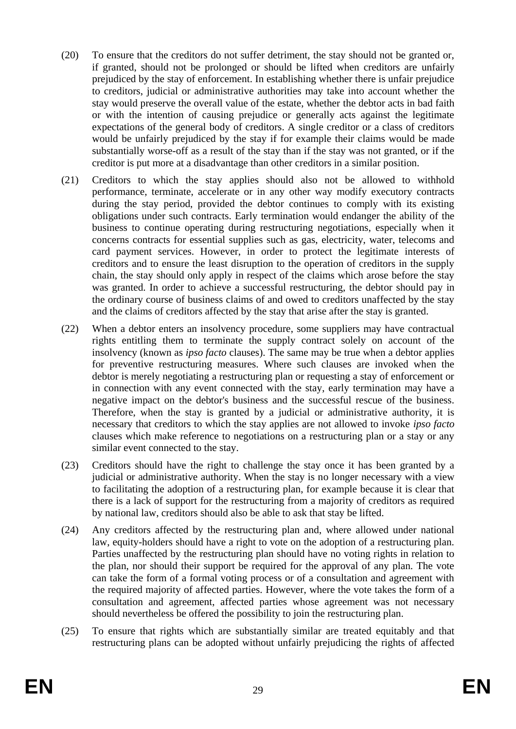- (20) To ensure that the creditors do not suffer detriment, the stay should not be granted or, if granted, should not be prolonged or should be lifted when creditors are unfairly prejudiced by the stay of enforcement. In establishing whether there is unfair prejudice to creditors, judicial or administrative authorities may take into account whether the stay would preserve the overall value of the estate, whether the debtor acts in bad faith or with the intention of causing prejudice or generally acts against the legitimate expectations of the general body of creditors. A single creditor or a class of creditors would be unfairly prejudiced by the stay if for example their claims would be made substantially worse-off as a result of the stay than if the stay was not granted, or if the creditor is put more at a disadvantage than other creditors in a similar position.
- (21) Creditors to which the stay applies should also not be allowed to withhold performance, terminate, accelerate or in any other way modify executory contracts during the stay period, provided the debtor continues to comply with its existing obligations under such contracts. Early termination would endanger the ability of the business to continue operating during restructuring negotiations, especially when it concerns contracts for essential supplies such as gas, electricity, water, telecoms and card payment services. However, in order to protect the legitimate interests of creditors and to ensure the least disruption to the operation of creditors in the supply chain, the stay should only apply in respect of the claims which arose before the stay was granted. In order to achieve a successful restructuring, the debtor should pay in the ordinary course of business claims of and owed to creditors unaffected by the stay and the claims of creditors affected by the stay that arise after the stay is granted.
- (22) When a debtor enters an insolvency procedure, some suppliers may have contractual rights entitling them to terminate the supply contract solely on account of the insolvency (known as *ipso facto* clauses). The same may be true when a debtor applies for preventive restructuring measures. Where such clauses are invoked when the debtor is merely negotiating a restructuring plan or requesting a stay of enforcement or in connection with any event connected with the stay, early termination may have a negative impact on the debtor's business and the successful rescue of the business. Therefore, when the stay is granted by a judicial or administrative authority, it is necessary that creditors to which the stay applies are not allowed to invoke *ipso facto* clauses which make reference to negotiations on a restructuring plan or a stay or any similar event connected to the stay.
- (23) Creditors should have the right to challenge the stay once it has been granted by a judicial or administrative authority. When the stay is no longer necessary with a view to facilitating the adoption of a restructuring plan, for example because it is clear that there is a lack of support for the restructuring from a majority of creditors as required by national law, creditors should also be able to ask that stay be lifted.
- (24) Any creditors affected by the restructuring plan and, where allowed under national law, equity-holders should have a right to vote on the adoption of a restructuring plan. Parties unaffected by the restructuring plan should have no voting rights in relation to the plan, nor should their support be required for the approval of any plan. The vote can take the form of a formal voting process or of a consultation and agreement with the required majority of affected parties. However, where the vote takes the form of a consultation and agreement, affected parties whose agreement was not necessary should nevertheless be offered the possibility to join the restructuring plan.
- (25) To ensure that rights which are substantially similar are treated equitably and that restructuring plans can be adopted without unfairly prejudicing the rights of affected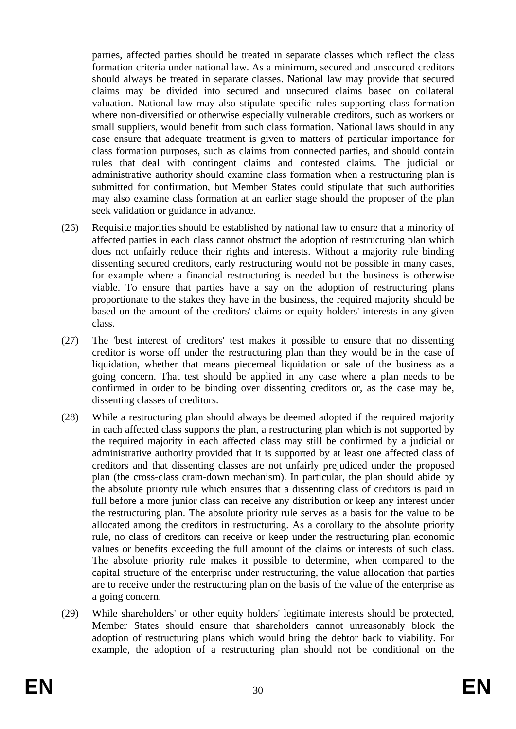parties, affected parties should be treated in separate classes which reflect the class formation criteria under national law. As a minimum, secured and unsecured creditors should always be treated in separate classes. National law may provide that secured claims may be divided into secured and unsecured claims based on collateral valuation. National law may also stipulate specific rules supporting class formation where non-diversified or otherwise especially vulnerable creditors, such as workers or small suppliers, would benefit from such class formation. National laws should in any case ensure that adequate treatment is given to matters of particular importance for class formation purposes, such as claims from connected parties, and should contain rules that deal with contingent claims and contested claims. The judicial or administrative authority should examine class formation when a restructuring plan is submitted for confirmation, but Member States could stipulate that such authorities may also examine class formation at an earlier stage should the proposer of the plan seek validation or guidance in advance.

- (26) Requisite majorities should be established by national law to ensure that a minority of affected parties in each class cannot obstruct the adoption of restructuring plan which does not unfairly reduce their rights and interests. Without a majority rule binding dissenting secured creditors, early restructuring would not be possible in many cases, for example where a financial restructuring is needed but the business is otherwise viable. To ensure that parties have a say on the adoption of restructuring plans proportionate to the stakes they have in the business, the required majority should be based on the amount of the creditors' claims or equity holders' interests in any given class.
- (27) The 'best interest of creditors' test makes it possible to ensure that no dissenting creditor is worse off under the restructuring plan than they would be in the case of liquidation, whether that means piecemeal liquidation or sale of the business as a going concern. That test should be applied in any case where a plan needs to be confirmed in order to be binding over dissenting creditors or, as the case may be, dissenting classes of creditors.
- (28) While a restructuring plan should always be deemed adopted if the required majority in each affected class supports the plan, a restructuring plan which is not supported by the required majority in each affected class may still be confirmed by a judicial or administrative authority provided that it is supported by at least one affected class of creditors and that dissenting classes are not unfairly prejudiced under the proposed plan (the cross-class cram-down mechanism). In particular, the plan should abide by the absolute priority rule which ensures that a dissenting class of creditors is paid in full before a more junior class can receive any distribution or keep any interest under the restructuring plan. The absolute priority rule serves as a basis for the value to be allocated among the creditors in restructuring. As a corollary to the absolute priority rule, no class of creditors can receive or keep under the restructuring plan economic values or benefits exceeding the full amount of the claims or interests of such class. The absolute priority rule makes it possible to determine, when compared to the capital structure of the enterprise under restructuring, the value allocation that parties are to receive under the restructuring plan on the basis of the value of the enterprise as a going concern.
- (29) While shareholders' or other equity holders' legitimate interests should be protected, Member States should ensure that shareholders cannot unreasonably block the adoption of restructuring plans which would bring the debtor back to viability. For example, the adoption of a restructuring plan should not be conditional on the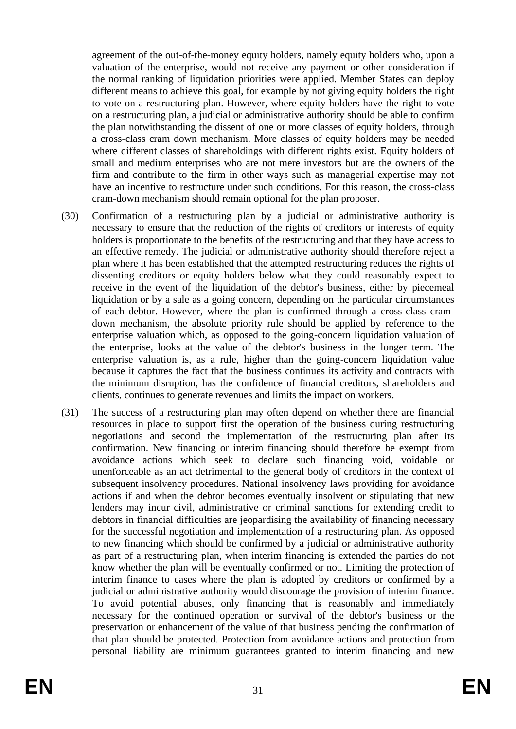agreement of the out-of-the-money equity holders, namely equity holders who, upon a valuation of the enterprise, would not receive any payment or other consideration if the normal ranking of liquidation priorities were applied. Member States can deploy different means to achieve this goal, for example by not giving equity holders the right to vote on a restructuring plan. However, where equity holders have the right to vote on a restructuring plan, a judicial or administrative authority should be able to confirm the plan notwithstanding the dissent of one or more classes of equity holders, through a cross-class cram down mechanism. More classes of equity holders may be needed where different classes of shareholdings with different rights exist. Equity holders of small and medium enterprises who are not mere investors but are the owners of the firm and contribute to the firm in other ways such as managerial expertise may not have an incentive to restructure under such conditions. For this reason, the cross-class cram-down mechanism should remain optional for the plan proposer.

- (30) Confirmation of a restructuring plan by a judicial or administrative authority is necessary to ensure that the reduction of the rights of creditors or interests of equity holders is proportionate to the benefits of the restructuring and that they have access to an effective remedy. The judicial or administrative authority should therefore reject a plan where it has been established that the attempted restructuring reduces the rights of dissenting creditors or equity holders below what they could reasonably expect to receive in the event of the liquidation of the debtor's business, either by piecemeal liquidation or by a sale as a going concern, depending on the particular circumstances of each debtor. However, where the plan is confirmed through a cross-class cramdown mechanism, the absolute priority rule should be applied by reference to the enterprise valuation which, as opposed to the going-concern liquidation valuation of the enterprise, looks at the value of the debtor's business in the longer term. The enterprise valuation is, as a rule, higher than the going-concern liquidation value because it captures the fact that the business continues its activity and contracts with the minimum disruption, has the confidence of financial creditors, shareholders and clients, continues to generate revenues and limits the impact on workers.
- (31) The success of a restructuring plan may often depend on whether there are financial resources in place to support first the operation of the business during restructuring negotiations and second the implementation of the restructuring plan after its confirmation. New financing or interim financing should therefore be exempt from avoidance actions which seek to declare such financing void, voidable or unenforceable as an act detrimental to the general body of creditors in the context of subsequent insolvency procedures. National insolvency laws providing for avoidance actions if and when the debtor becomes eventually insolvent or stipulating that new lenders may incur civil, administrative or criminal sanctions for extending credit to debtors in financial difficulties are jeopardising the availability of financing necessary for the successful negotiation and implementation of a restructuring plan. As opposed to new financing which should be confirmed by a judicial or administrative authority as part of a restructuring plan, when interim financing is extended the parties do not know whether the plan will be eventually confirmed or not. Limiting the protection of interim finance to cases where the plan is adopted by creditors or confirmed by a judicial or administrative authority would discourage the provision of interim finance. To avoid potential abuses, only financing that is reasonably and immediately necessary for the continued operation or survival of the debtor's business or the preservation or enhancement of the value of that business pending the confirmation of that plan should be protected. Protection from avoidance actions and protection from personal liability are minimum guarantees granted to interim financing and new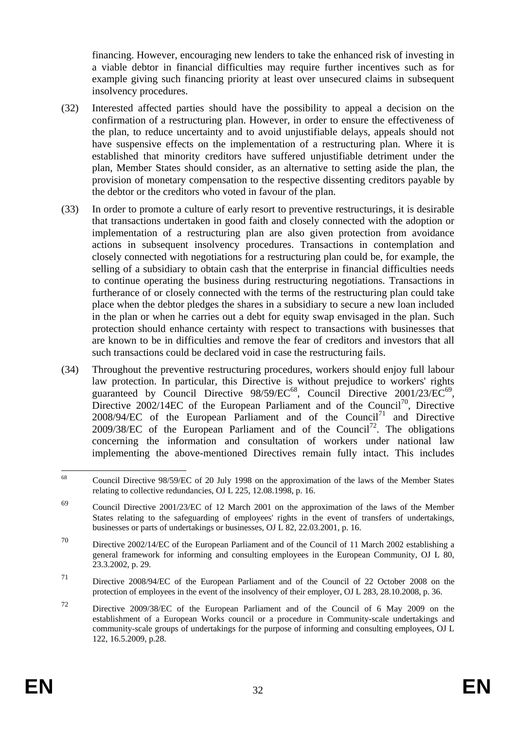financing. However, encouraging new lenders to take the enhanced risk of investing in a viable debtor in financial difficulties may require further incentives such as for example giving such financing priority at least over unsecured claims in subsequent insolvency procedures.

- (32) Interested affected parties should have the possibility to appeal a decision on the confirmation of a restructuring plan. However, in order to ensure the effectiveness of the plan, to reduce uncertainty and to avoid unjustifiable delays, appeals should not have suspensive effects on the implementation of a restructuring plan. Where it is established that minority creditors have suffered unjustifiable detriment under the plan, Member States should consider, as an alternative to setting aside the plan, the provision of monetary compensation to the respective dissenting creditors payable by the debtor or the creditors who voted in favour of the plan.
- (33) In order to promote a culture of early resort to preventive restructurings, it is desirable that transactions undertaken in good faith and closely connected with the adoption or implementation of a restructuring plan are also given protection from avoidance actions in subsequent insolvency procedures. Transactions in contemplation and closely connected with negotiations for a restructuring plan could be, for example, the selling of a subsidiary to obtain cash that the enterprise in financial difficulties needs to continue operating the business during restructuring negotiations. Transactions in furtherance of or closely connected with the terms of the restructuring plan could take place when the debtor pledges the shares in a subsidiary to secure a new loan included in the plan or when he carries out a debt for equity swap envisaged in the plan. Such protection should enhance certainty with respect to transactions with businesses that are known to be in difficulties and remove the fear of creditors and investors that all such transactions could be declared void in case the restructuring fails.
- (34) Throughout the preventive restructuring procedures, workers should enjoy full labour law protection. In particular, this Directive is without prejudice to workers' rights guaranteed by Council Directive 98/59/EC<sup>68</sup>, Council Directive 2001/23/EC<sup>69</sup>, Directive  $2002/14EC$  of the European Parliament and of the Council<sup>70</sup>, Directive  $2008/94/EC$  of the European Parliament and of the Council<sup>71</sup> and Directive 2009/38/EC of the European Parliament and of the Council<sup>72</sup>. The obligations concerning the information and consultation of workers under national law implementing the above-mentioned Directives remain fully intact. This includes

<sup>68</sup> <sup>68</sup> Council Directive 98/59/EC of 20 July 1998 on the approximation of the laws of the Member States relating to collective redundancies, OJ L 225, 12.08.1998, p. 16.

<sup>69</sup> Council Directive 2001/23/EC of 12 March 2001 on the approximation of the laws of the Member States relating to the safeguarding of employees' rights in the event of transfers of undertakings, businesses or parts of undertakings or businesses, OJ L 82, 22.03.2001, p. 16.

<sup>70</sup> Directive 2002/14/EC of the European Parliament and of the Council of 11 March 2002 establishing a general framework for informing and consulting employees in the European Community, OJ L 80, 23.3.2002, p. 29.

<sup>71</sup> Directive 2008/94/EC of the European Parliament and of the Council of 22 October 2008 on the protection of employees in the event of the insolvency of their employer, OJ L 283, 28.10.2008, p. 36.

<sup>72</sup> Directive 2009/38/EC of the European Parliament and of the Council of 6 May 2009 on the establishment of a European Works council or a procedure in Community-scale undertakings and community-scale groups of undertakings for the purpose of informing and consulting employees, OJ L 122, 16.5.2009, p.28.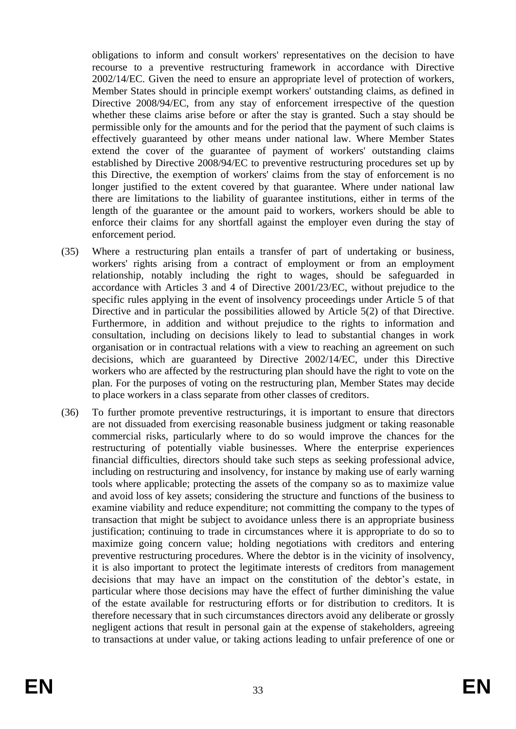obligations to inform and consult workers' representatives on the decision to have recourse to a preventive restructuring framework in accordance with Directive 2002/14/EC. Given the need to ensure an appropriate level of protection of workers, Member States should in principle exempt workers' outstanding claims, as defined in Directive 2008/94/EC, from any stay of enforcement irrespective of the question whether these claims arise before or after the stay is granted. Such a stay should be permissible only for the amounts and for the period that the payment of such claims is effectively guaranteed by other means under national law. Where Member States extend the cover of the guarantee of payment of workers' outstanding claims established by Directive 2008/94/EC to preventive restructuring procedures set up by this Directive, the exemption of workers' claims from the stay of enforcement is no longer iustified to the extent covered by that guarantee. Where under national law there are limitations to the liability of guarantee institutions, either in terms of the length of the guarantee or the amount paid to workers, workers should be able to enforce their claims for any shortfall against the employer even during the stay of enforcement period.

- (35) Where a restructuring plan entails a transfer of part of undertaking or business, workers' rights arising from a contract of employment or from an employment relationship, notably including the right to wages, should be safeguarded in accordance with Articles 3 and 4 of Directive 2001/23/EC, without prejudice to the specific rules applying in the event of insolvency proceedings under Article 5 of that Directive and in particular the possibilities allowed by Article 5(2) of that Directive. Furthermore, in addition and without prejudice to the rights to information and consultation, including on decisions likely to lead to substantial changes in work organisation or in contractual relations with a view to reaching an agreement on such decisions, which are guaranteed by Directive 2002/14/EC, under this Directive workers who are affected by the restructuring plan should have the right to vote on the plan. For the purposes of voting on the restructuring plan, Member States may decide to place workers in a class separate from other classes of creditors.
- (36) To further promote preventive restructurings, it is important to ensure that directors are not dissuaded from exercising reasonable business judgment or taking reasonable commercial risks, particularly where to do so would improve the chances for the restructuring of potentially viable businesses. Where the enterprise experiences financial difficulties, directors should take such steps as seeking professional advice, including on restructuring and insolvency, for instance by making use of early warning tools where applicable; protecting the assets of the company so as to maximize value and avoid loss of key assets; considering the structure and functions of the business to examine viability and reduce expenditure; not committing the company to the types of transaction that might be subject to avoidance unless there is an appropriate business justification; continuing to trade in circumstances where it is appropriate to do so to maximize going concern value; holding negotiations with creditors and entering preventive restructuring procedures. Where the debtor is in the vicinity of insolvency, it is also important to protect the legitimate interests of creditors from management decisions that may have an impact on the constitution of the debtor's estate, in particular where those decisions may have the effect of further diminishing the value of the estate available for restructuring efforts or for distribution to creditors. It is therefore necessary that in such circumstances directors avoid any deliberate or grossly negligent actions that result in personal gain at the expense of stakeholders, agreeing to transactions at under value, or taking actions leading to unfair preference of one or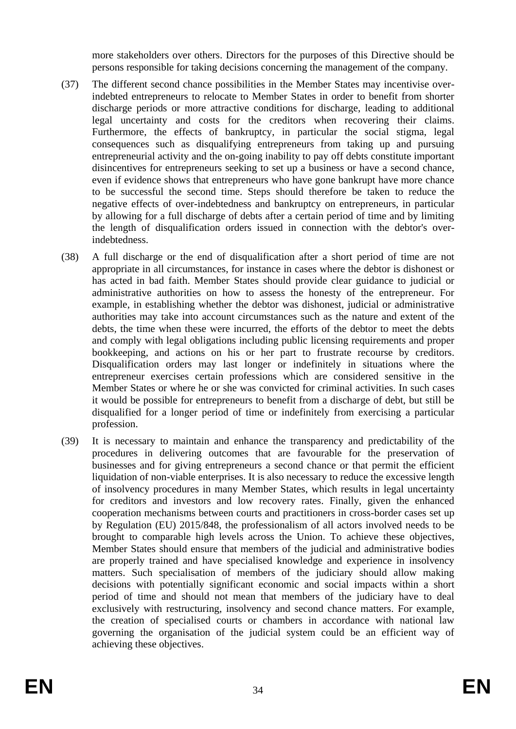more stakeholders over others. Directors for the purposes of this Directive should be persons responsible for taking decisions concerning the management of the company.

- (37) The different second chance possibilities in the Member States may incentivise overindebted entrepreneurs to relocate to Member States in order to benefit from shorter discharge periods or more attractive conditions for discharge, leading to additional legal uncertainty and costs for the creditors when recovering their claims. Furthermore, the effects of bankruptcy, in particular the social stigma, legal consequences such as disqualifying entrepreneurs from taking up and pursuing entrepreneurial activity and the on-going inability to pay off debts constitute important disincentives for entrepreneurs seeking to set up a business or have a second chance, even if evidence shows that entrepreneurs who have gone bankrupt have more chance to be successful the second time. Steps should therefore be taken to reduce the negative effects of over-indebtedness and bankruptcy on entrepreneurs, in particular by allowing for a full discharge of debts after a certain period of time and by limiting the length of disqualification orders issued in connection with the debtor's overindebtedness.
- (38) A full discharge or the end of disqualification after a short period of time are not appropriate in all circumstances, for instance in cases where the debtor is dishonest or has acted in bad faith. Member States should provide clear guidance to judicial or administrative authorities on how to assess the honesty of the entrepreneur. For example, in establishing whether the debtor was dishonest, judicial or administrative authorities may take into account circumstances such as the nature and extent of the debts, the time when these were incurred, the efforts of the debtor to meet the debts and comply with legal obligations including public licensing requirements and proper bookkeeping, and actions on his or her part to frustrate recourse by creditors. Disqualification orders may last longer or indefinitely in situations where the entrepreneur exercises certain professions which are considered sensitive in the Member States or where he or she was convicted for criminal activities. In such cases it would be possible for entrepreneurs to benefit from a discharge of debt, but still be disqualified for a longer period of time or indefinitely from exercising a particular profession.
- (39) It is necessary to maintain and enhance the transparency and predictability of the procedures in delivering outcomes that are favourable for the preservation of businesses and for giving entrepreneurs a second chance or that permit the efficient liquidation of non-viable enterprises. It is also necessary to reduce the excessive length of insolvency procedures in many Member States, which results in legal uncertainty for creditors and investors and low recovery rates. Finally, given the enhanced cooperation mechanisms between courts and practitioners in cross-border cases set up by Regulation (EU) 2015/848, the professionalism of all actors involved needs to be brought to comparable high levels across the Union. To achieve these objectives, Member States should ensure that members of the judicial and administrative bodies are properly trained and have specialised knowledge and experience in insolvency matters. Such specialisation of members of the judiciary should allow making decisions with potentially significant economic and social impacts within a short period of time and should not mean that members of the judiciary have to deal exclusively with restructuring, insolvency and second chance matters. For example, the creation of specialised courts or chambers in accordance with national law governing the organisation of the judicial system could be an efficient way of achieving these objectives.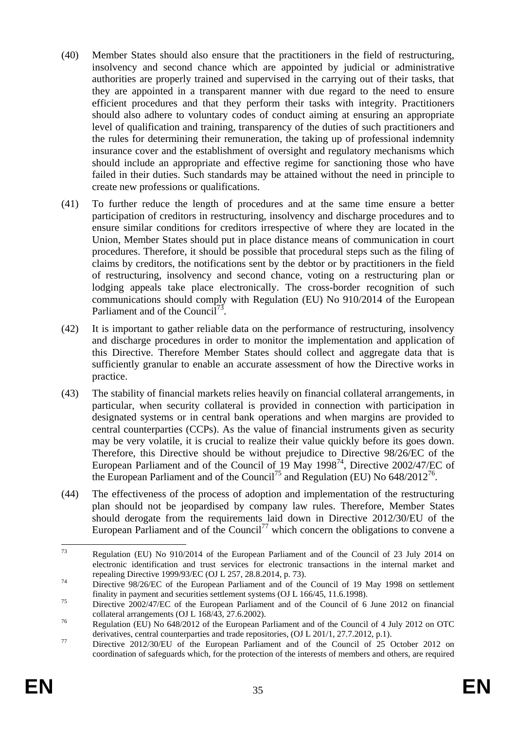- (40) Member States should also ensure that the practitioners in the field of restructuring, insolvency and second chance which are appointed by judicial or administrative authorities are properly trained and supervised in the carrying out of their tasks, that they are appointed in a transparent manner with due regard to the need to ensure efficient procedures and that they perform their tasks with integrity. Practitioners should also adhere to voluntary codes of conduct aiming at ensuring an appropriate level of qualification and training, transparency of the duties of such practitioners and the rules for determining their remuneration, the taking up of professional indemnity insurance cover and the establishment of oversight and regulatory mechanisms which should include an appropriate and effective regime for sanctioning those who have failed in their duties. Such standards may be attained without the need in principle to create new professions or qualifications.
- (41) To further reduce the length of procedures and at the same time ensure a better participation of creditors in restructuring, insolvency and discharge procedures and to ensure similar conditions for creditors irrespective of where they are located in the Union, Member States should put in place distance means of communication in court procedures. Therefore, it should be possible that procedural steps such as the filing of claims by creditors, the notifications sent by the debtor or by practitioners in the field of restructuring, insolvency and second chance, voting on a restructuring plan or lodging appeals take place electronically. The cross-border recognition of such communications should comply with Regulation (EU) No 910/2014 of the European Parliament and of the Council<sup>73</sup>.
- (42) It is important to gather reliable data on the performance of restructuring, insolvency and discharge procedures in order to monitor the implementation and application of this Directive. Therefore Member States should collect and aggregate data that is sufficiently granular to enable an accurate assessment of how the Directive works in practice.
- (43) The stability of financial markets relies heavily on financial collateral arrangements, in particular, when security collateral is provided in connection with participation in designated systems or in central bank operations and when margins are provided to central counterparties (CCPs). As the value of financial instruments given as security may be very volatile, it is crucial to realize their value quickly before its goes down. Therefore, this Directive should be without prejudice to Directive 98/26/EC of the European Parliament and of the Council of 19 May 1998<sup>74</sup>, Directive 2002/47/EC of the European Parliament and of the Council<sup>75</sup> and Regulation (EU) No  $648/2012^{76}$ .
- (44) The effectiveness of the process of adoption and implementation of the restructuring plan should not be jeopardised by company law rules. Therefore, Member States should derogate from the requirements laid down in Directive 2012/30/EU of the European Parliament and of the Council<sup>77</sup> which concern the obligations to convene a

<sup>73</sup> <sup>73</sup> Regulation (EU) No 910/2014 of the European Parliament and of the Council of 23 July 2014 on electronic identification and trust services for electronic transactions in the internal market and repealing Directive 1999/93/EC (OJ L 257, 28.8.2014, p. 73).

<sup>&</sup>lt;sup>74</sup> Directive 98/26/EC of the European Parliament and of the Council of 19 May 1998 on settlement finality in payment and securities settlement systems (OJ L 166/45, 11.6.1998).

<sup>&</sup>lt;sup>75</sup> Directive 2002/47/EC of the European Parliament and of the Council of 6 June 2012 on financial collateral arrangements (OJ L 168/43, 27.6.2002).

<sup>76</sup> Regulation (EU) No 648/2012 of the European Parliament and of the Council of 4 July 2012 on OTC derivatives, central counterparties and trade repositories, (OJ L 201/1, 27.7.2012, p.1).

<sup>&</sup>lt;sup>77</sup> Directive 2012/30/EU of the European Parliament and of the Council of 25 October 2012 on coordination of safeguards which, for the protection of the interests of members and others, are required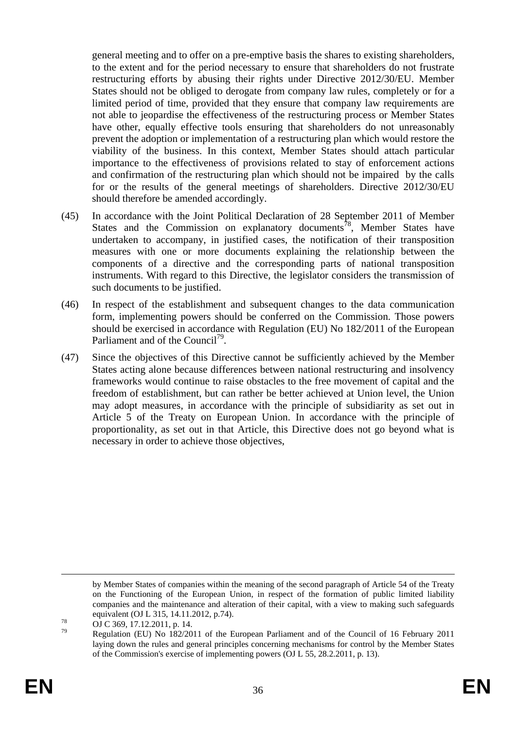general meeting and to offer on a pre-emptive basis the shares to existing shareholders, to the extent and for the period necessary to ensure that shareholders do not frustrate restructuring efforts by abusing their rights under Directive 2012/30/EU. Member States should not be obliged to derogate from company law rules, completely or for a limited period of time, provided that they ensure that company law requirements are not able to jeopardise the effectiveness of the restructuring process or Member States have other, equally effective tools ensuring that shareholders do not unreasonably prevent the adoption or implementation of a restructuring plan which would restore the viability of the business. In this context, Member States should attach particular importance to the effectiveness of provisions related to stay of enforcement actions and confirmation of the restructuring plan which should not be impaired by the calls for or the results of the general meetings of shareholders. Directive 2012/30/EU should therefore be amended accordingly.

- (45) In accordance with the Joint Political Declaration of 28 September 2011 of Member States and the Commission on explanatory documents<sup>78</sup>, Member States have undertaken to accompany, in justified cases, the notification of their transposition measures with one or more documents explaining the relationship between the components of a directive and the corresponding parts of national transposition instruments. With regard to this Directive, the legislator considers the transmission of such documents to be justified.
- (46) In respect of the establishment and subsequent changes to the data communication form, implementing powers should be conferred on the Commission. Those powers should be exercised in accordance with Regulation (EU) No 182/2011 of the European Parliament and of the Council<sup>79</sup>.
- (47) Since the objectives of this Directive cannot be sufficiently achieved by the Member States acting alone because differences between national restructuring and insolvency frameworks would continue to raise obstacles to the free movement of capital and the freedom of establishment, but can rather be better achieved at Union level, the Union may adopt measures, in accordance with the principle of subsidiarity as set out in Article 5 of the Treaty on European Union. In accordance with the principle of proportionality, as set out in that Article, this Directive does not go beyond what is necessary in order to achieve those objectives,

1

by Member States of companies within the meaning of the second paragraph of Article 54 of the Treaty on the Functioning of the European Union, in respect of the formation of public limited liability companies and the maintenance and alteration of their capital, with a view to making such safeguards equivalent (OJ L 315, 14.11.2012, p.74).

 $^{78}$  OJ C 369, 17.12.2011, p. 14.

<sup>79</sup> Regulation (EU) No 182/2011 of the European Parliament and of the Council of 16 February 2011 laying down the rules and general principles concerning mechanisms for control by the Member States of the Commission's exercise of implementing powers (OJ L 55, 28.2.2011, p. 13).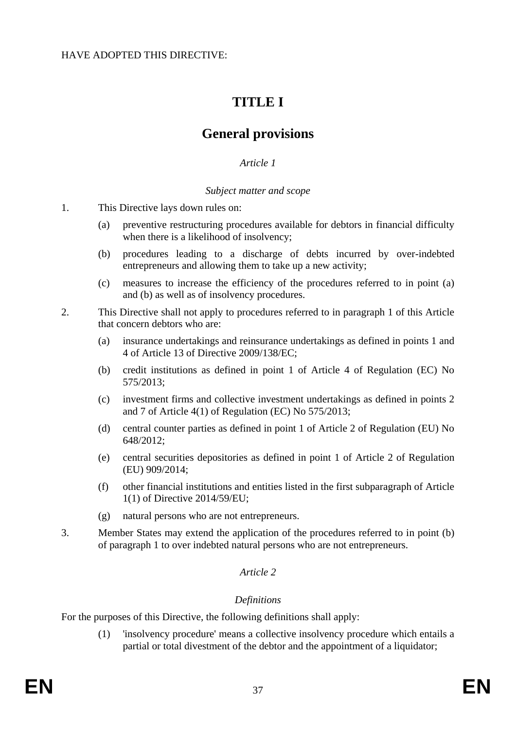# **TITLE I**

# **General provisions**

## *Article 1*

#### *Subject matter and scope*

- 1. This Directive lays down rules on:
	- (a) preventive restructuring procedures available for debtors in financial difficulty when there is a likelihood of insolvency;
	- (b) procedures leading to a discharge of debts incurred by over-indebted entrepreneurs and allowing them to take up a new activity;
	- (c) measures to increase the efficiency of the procedures referred to in point (a) and (b) as well as of insolvency procedures.
- 2. This Directive shall not apply to procedures referred to in paragraph 1 of this Article that concern debtors who are:
	- (a) insurance undertakings and reinsurance undertakings as defined in points 1 and 4 of Article 13 of Directive 2009/138/EC;
	- (b) credit institutions as defined in point 1 of Article 4 of Regulation (EC) No 575/2013;
	- (c) investment firms and collective investment undertakings as defined in points 2 and 7 of Article 4(1) of Regulation (EC) No 575/2013;
	- (d) central counter parties as defined in point 1 of Article 2 of Regulation (EU) No 648/2012;
	- (e) central securities depositories as defined in point 1 of Article 2 of Regulation (EU) 909/2014;
	- (f) other financial institutions and entities listed in the first subparagraph of Article 1(1) of Directive 2014/59/EU;
	- (g) natural persons who are not entrepreneurs.
- 3. Member States may extend the application of the procedures referred to in point (b) of paragraph 1 to over indebted natural persons who are not entrepreneurs.

## *Article 2*

## *Definitions*

For the purposes of this Directive, the following definitions shall apply:

(1) 'insolvency procedure' means a collective insolvency procedure which entails a partial or total divestment of the debtor and the appointment of a liquidator;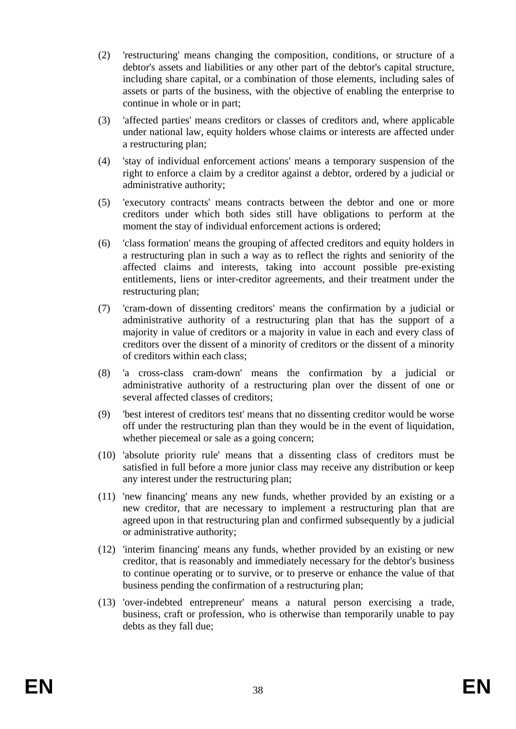- (2) 'restructuring' means changing the composition, conditions, or structure of a debtor's assets and liabilities or any other part of the debtor's capital structure, including share capital, or a combination of those elements, including sales of assets or parts of the business, with the objective of enabling the enterprise to continue in whole or in part;
- (3) 'affected parties' means creditors or classes of creditors and, where applicable under national law, equity holders whose claims or interests are affected under a restructuring plan;
- (4) 'stay of individual enforcement actions' means a temporary suspension of the right to enforce a claim by a creditor against a debtor, ordered by a judicial or administrative authority;
- (5) 'executory contracts' means contracts between the debtor and one or more creditors under which both sides still have obligations to perform at the moment the stay of individual enforcement actions is ordered;
- (6) 'class formation' means the grouping of affected creditors and equity holders in a restructuring plan in such a way as to reflect the rights and seniority of the affected claims and interests, taking into account possible pre-existing entitlements, liens or inter-creditor agreements, and their treatment under the restructuring plan;
- (7) 'cram-down of dissenting creditors' means the confirmation by a judicial or administrative authority of a restructuring plan that has the support of a majority in value of creditors or a majority in value in each and every class of creditors over the dissent of a minority of creditors or the dissent of a minority of creditors within each class;
- (8) 'a cross-class cram-down' means the confirmation by a judicial or administrative authority of a restructuring plan over the dissent of one or several affected classes of creditors;
- (9) 'best interest of creditors test' means that no dissenting creditor would be worse off under the restructuring plan than they would be in the event of liquidation, whether piecemeal or sale as a going concern;
- (10) 'absolute priority rule' means that a dissenting class of creditors must be satisfied in full before a more junior class may receive any distribution or keep any interest under the restructuring plan;
- (11) 'new financing' means any new funds, whether provided by an existing or a new creditor, that are necessary to implement a restructuring plan that are agreed upon in that restructuring plan and confirmed subsequently by a judicial or administrative authority;
- (12) 'interim financing' means any funds, whether provided by an existing or new creditor, that is reasonably and immediately necessary for the debtor's business to continue operating or to survive, or to preserve or enhance the value of that business pending the confirmation of a restructuring plan;
- (13) 'over-indebted entrepreneur' means a natural person exercising a trade, business, craft or profession, who is otherwise than temporarily unable to pay debts as they fall due;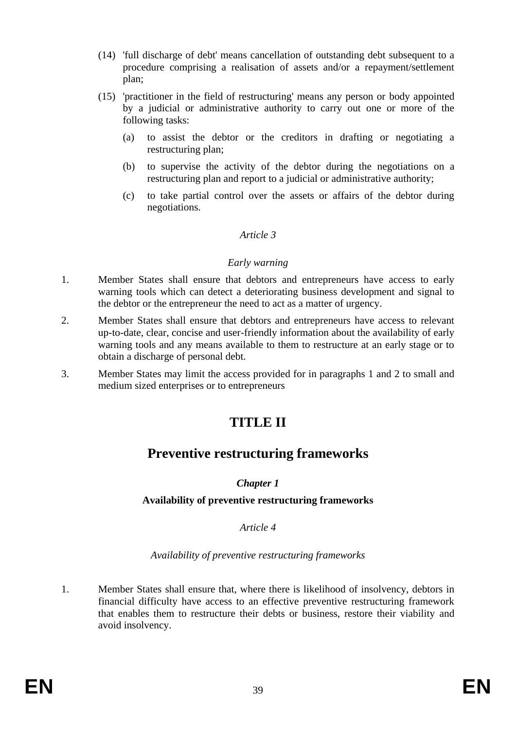- (14) 'full discharge of debt' means cancellation of outstanding debt subsequent to a procedure comprising a realisation of assets and/or a repayment/settlement plan;
- (15) 'practitioner in the field of restructuring' means any person or body appointed by a judicial or administrative authority to carry out one or more of the following tasks:
	- (a) to assist the debtor or the creditors in drafting or negotiating a restructuring plan;
	- (b) to supervise the activity of the debtor during the negotiations on a restructuring plan and report to a judicial or administrative authority;
	- (c) to take partial control over the assets or affairs of the debtor during negotiations.

#### *Article 3*

#### *Early warning*

- 1. Member States shall ensure that debtors and entrepreneurs have access to early warning tools which can detect a deteriorating business development and signal to the debtor or the entrepreneur the need to act as a matter of urgency.
- 2. Member States shall ensure that debtors and entrepreneurs have access to relevant up-to-date, clear, concise and user-friendly information about the availability of early warning tools and any means available to them to restructure at an early stage or to obtain a discharge of personal debt.
- 3. Member States may limit the access provided for in paragraphs 1 and 2 to small and medium sized enterprises or to entrepreneurs

# **TITLE II**

## **Preventive restructuring frameworks**

## *Chapter 1*

## **Availability of preventive restructuring frameworks**

#### *Article 4*

## *Availability of preventive restructuring frameworks*

1. Member States shall ensure that, where there is likelihood of insolvency, debtors in financial difficulty have access to an effective preventive restructuring framework that enables them to restructure their debts or business, restore their viability and avoid insolvency.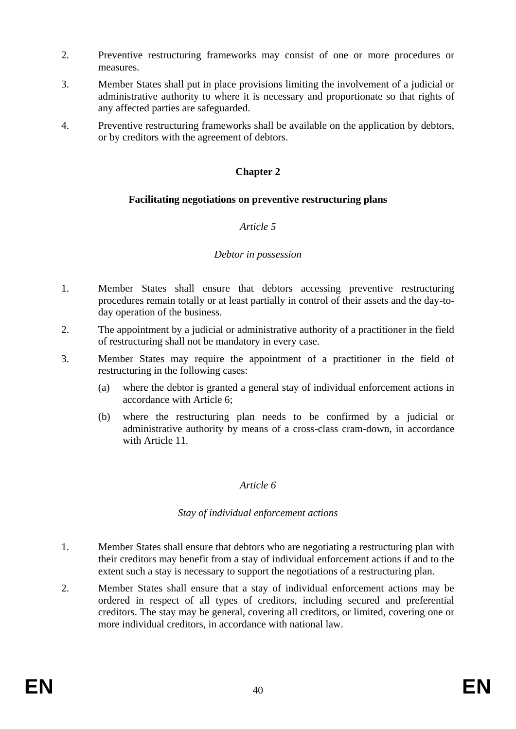- 2. Preventive restructuring frameworks may consist of one or more procedures or measures.
- 3. Member States shall put in place provisions limiting the involvement of a judicial or administrative authority to where it is necessary and proportionate so that rights of any affected parties are safeguarded.
- 4. Preventive restructuring frameworks shall be available on the application by debtors, or by creditors with the agreement of debtors.

## **Chapter 2**

#### **Facilitating negotiations on preventive restructuring plans**

#### *Article 5*

#### *Debtor in possession*

- 1. Member States shall ensure that debtors accessing preventive restructuring procedures remain totally or at least partially in control of their assets and the day-today operation of the business.
- 2. The appointment by a judicial or administrative authority of a practitioner in the field of restructuring shall not be mandatory in every case.
- 3. Member States may require the appointment of a practitioner in the field of restructuring in the following cases:
	- (a) where the debtor is granted a general stay of individual enforcement actions in accordance with Article 6;
	- (b) where the restructuring plan needs to be confirmed by a judicial or administrative authority by means of a cross-class cram-down, in accordance with Article 11.

#### *Article 6*

#### *Stay of individual enforcement actions*

- 1. Member States shall ensure that debtors who are negotiating a restructuring plan with their creditors may benefit from a stay of individual enforcement actions if and to the extent such a stay is necessary to support the negotiations of a restructuring plan.
- 2. Member States shall ensure that a stay of individual enforcement actions may be ordered in respect of all types of creditors, including secured and preferential creditors. The stay may be general, covering all creditors, or limited, covering one or more individual creditors, in accordance with national law.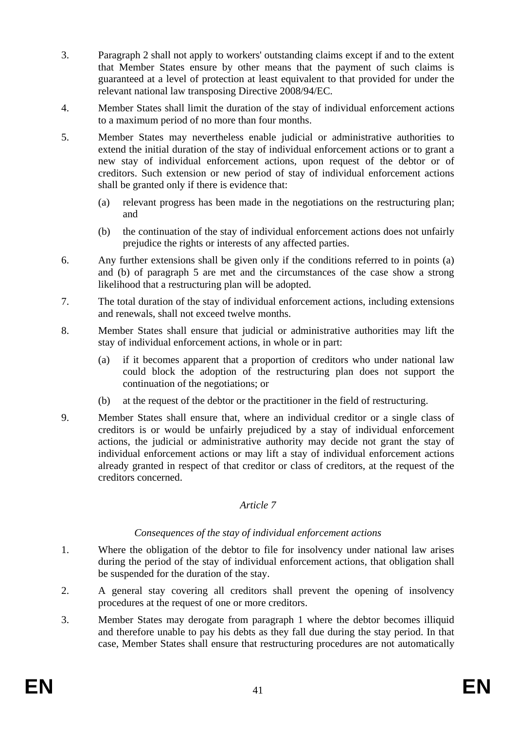- 3. Paragraph 2 shall not apply to workers' outstanding claims except if and to the extent that Member States ensure by other means that the payment of such claims is guaranteed at a level of protection at least equivalent to that provided for under the relevant national law transposing Directive 2008/94/EC.
- 4. Member States shall limit the duration of the stay of individual enforcement actions to a maximum period of no more than four months.
- 5. Member States may nevertheless enable judicial or administrative authorities to extend the initial duration of the stay of individual enforcement actions or to grant a new stay of individual enforcement actions, upon request of the debtor or of creditors. Such extension or new period of stay of individual enforcement actions shall be granted only if there is evidence that:
	- (a) relevant progress has been made in the negotiations on the restructuring plan; and
	- (b) the continuation of the stay of individual enforcement actions does not unfairly prejudice the rights or interests of any affected parties.
- 6. Any further extensions shall be given only if the conditions referred to in points (a) and (b) of paragraph 5 are met and the circumstances of the case show a strong likelihood that a restructuring plan will be adopted.
- 7. The total duration of the stay of individual enforcement actions, including extensions and renewals, shall not exceed twelve months.
- 8. Member States shall ensure that judicial or administrative authorities may lift the stay of individual enforcement actions, in whole or in part:
	- (a) if it becomes apparent that a proportion of creditors who under national law could block the adoption of the restructuring plan does not support the continuation of the negotiations; or
	- (b) at the request of the debtor or the practitioner in the field of restructuring.
- 9. Member States shall ensure that, where an individual creditor or a single class of creditors is or would be unfairly prejudiced by a stay of individual enforcement actions, the judicial or administrative authority may decide not grant the stay of individual enforcement actions or may lift a stay of individual enforcement actions already granted in respect of that creditor or class of creditors, at the request of the creditors concerned.

#### *Article 7*

## *Consequences of the stay of individual enforcement actions*

- 1. Where the obligation of the debtor to file for insolvency under national law arises during the period of the stay of individual enforcement actions, that obligation shall be suspended for the duration of the stay.
- 2. A general stay covering all creditors shall prevent the opening of insolvency procedures at the request of one or more creditors.
- 3. Member States may derogate from paragraph 1 where the debtor becomes illiquid and therefore unable to pay his debts as they fall due during the stay period. In that case, Member States shall ensure that restructuring procedures are not automatically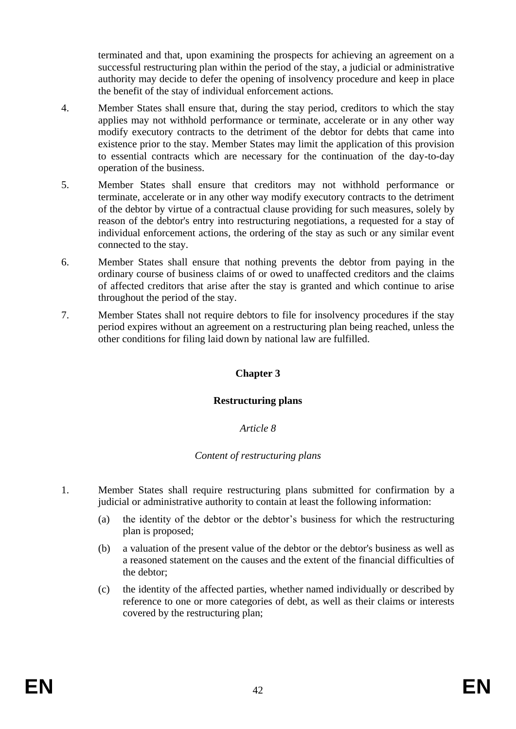terminated and that, upon examining the prospects for achieving an agreement on a successful restructuring plan within the period of the stay, a judicial or administrative authority may decide to defer the opening of insolvency procedure and keep in place the benefit of the stay of individual enforcement actions*.*

- 4. Member States shall ensure that, during the stay period, creditors to which the stay applies may not withhold performance or terminate, accelerate or in any other way modify executory contracts to the detriment of the debtor for debts that came into existence prior to the stay. Member States may limit the application of this provision to essential contracts which are necessary for the continuation of the day-to-day operation of the business.
- 5. Member States shall ensure that creditors may not withhold performance or terminate, accelerate or in any other way modify executory contracts to the detriment of the debtor by virtue of a contractual clause providing for such measures, solely by reason of the debtor's entry into restructuring negotiations, a requested for a stay of individual enforcement actions, the ordering of the stay as such or any similar event connected to the stay.
- 6. Member States shall ensure that nothing prevents the debtor from paying in the ordinary course of business claims of or owed to unaffected creditors and the claims of affected creditors that arise after the stay is granted and which continue to arise throughout the period of the stay.
- 7. Member States shall not require debtors to file for insolvency procedures if the stay period expires without an agreement on a restructuring plan being reached, unless the other conditions for filing laid down by national law are fulfilled.

## **Chapter 3**

#### **Restructuring plans**

## *Article 8*

## *Content of restructuring plans*

- 1. Member States shall require restructuring plans submitted for confirmation by a judicial or administrative authority to contain at least the following information:
	- (a) the identity of the debtor or the debtor's business for which the restructuring plan is proposed;
	- (b) a valuation of the present value of the debtor or the debtor's business as well as a reasoned statement on the causes and the extent of the financial difficulties of the debtor;
	- (c) the identity of the affected parties, whether named individually or described by reference to one or more categories of debt, as well as their claims or interests covered by the restructuring plan;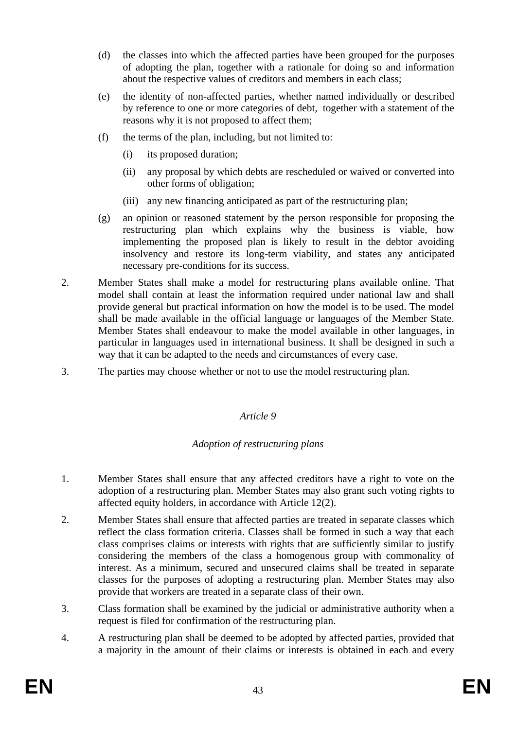- (d) the classes into which the affected parties have been grouped for the purposes of adopting the plan, together with a rationale for doing so and information about the respective values of creditors and members in each class;
- (e) the identity of non-affected parties, whether named individually or described by reference to one or more categories of debt, together with a statement of the reasons why it is not proposed to affect them;
- (f) the terms of the plan, including, but not limited to:
	- (i) its proposed duration;
	- (ii) any proposal by which debts are rescheduled or waived or converted into other forms of obligation;
	- (iii) any new financing anticipated as part of the restructuring plan;
- (g) an opinion or reasoned statement by the person responsible for proposing the restructuring plan which explains why the business is viable, how implementing the proposed plan is likely to result in the debtor avoiding insolvency and restore its long-term viability, and states any anticipated necessary pre-conditions for its success.
- 2. Member States shall make a model for restructuring plans available online. That model shall contain at least the information required under national law and shall provide general but practical information on how the model is to be used. The model shall be made available in the official language or languages of the Member State. Member States shall endeavour to make the model available in other languages, in particular in languages used in international business. It shall be designed in such a way that it can be adapted to the needs and circumstances of every case.
- 3. The parties may choose whether or not to use the model restructuring plan.

#### *Article 9*

## *Adoption of restructuring plans*

- 1. Member States shall ensure that any affected creditors have a right to vote on the adoption of a restructuring plan. Member States may also grant such voting rights to affected equity holders, in accordance with Article 12(2).
- 2. Member States shall ensure that affected parties are treated in separate classes which reflect the class formation criteria. Classes shall be formed in such a way that each class comprises claims or interests with rights that are sufficiently similar to justify considering the members of the class a homogenous group with commonality of interest. As a minimum, secured and unsecured claims shall be treated in separate classes for the purposes of adopting a restructuring plan. Member States may also provide that workers are treated in a separate class of their own.
- 3. Class formation shall be examined by the judicial or administrative authority when a request is filed for confirmation of the restructuring plan.
- 4. A restructuring plan shall be deemed to be adopted by affected parties, provided that a majority in the amount of their claims or interests is obtained in each and every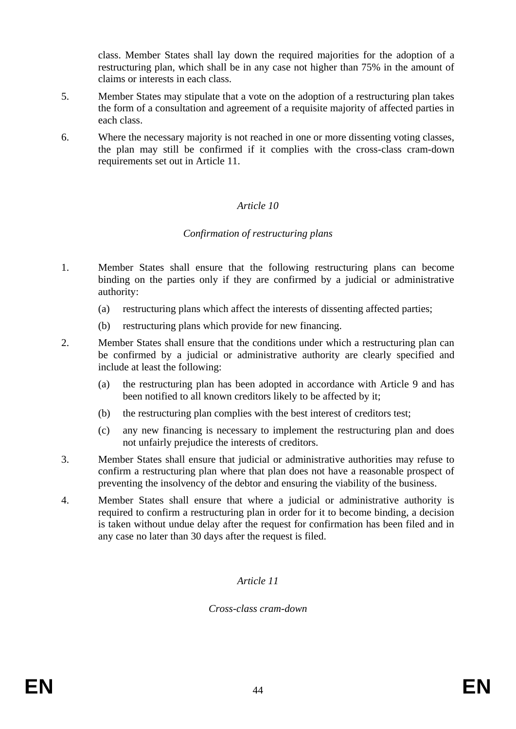class. Member States shall lay down the required majorities for the adoption of a restructuring plan, which shall be in any case not higher than 75% in the amount of claims or interests in each class.

- 5. Member States may stipulate that a vote on the adoption of a restructuring plan takes the form of a consultation and agreement of a requisite majority of affected parties in each class.
- 6. Where the necessary majority is not reached in one or more dissenting voting classes, the plan may still be confirmed if it complies with the cross-class cram-down requirements set out in Article 11.

## *Article 10*

#### *Confirmation of restructuring plans*

- 1. Member States shall ensure that the following restructuring plans can become binding on the parties only if they are confirmed by a judicial or administrative authority:
	- (a) restructuring plans which affect the interests of dissenting affected parties;
	- (b) restructuring plans which provide for new financing.
- 2. Member States shall ensure that the conditions under which a restructuring plan can be confirmed by a judicial or administrative authority are clearly specified and include at least the following:
	- (a) the restructuring plan has been adopted in accordance with Article 9 and has been notified to all known creditors likely to be affected by it;
	- (b) the restructuring plan complies with the best interest of creditors test;
	- (c) any new financing is necessary to implement the restructuring plan and does not unfairly prejudice the interests of creditors.
- 3. Member States shall ensure that judicial or administrative authorities may refuse to confirm a restructuring plan where that plan does not have a reasonable prospect of preventing the insolvency of the debtor and ensuring the viability of the business.
- 4. Member States shall ensure that where a judicial or administrative authority is required to confirm a restructuring plan in order for it to become binding, a decision is taken without undue delay after the request for confirmation has been filed and in any case no later than 30 days after the request is filed.

#### *Article 11*

#### *Cross-class cram-down*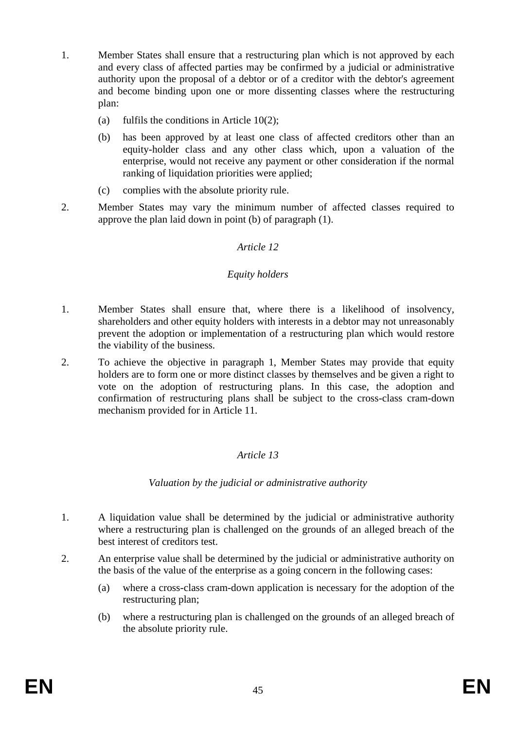- 1. Member States shall ensure that a restructuring plan which is not approved by each and every class of affected parties may be confirmed by a judicial or administrative authority upon the proposal of a debtor or of a creditor with the debtor's agreement and become binding upon one or more dissenting classes where the restructuring plan:
	- (a) fulfils the conditions in Article 10(2);
	- (b) has been approved by at least one class of affected creditors other than an equity-holder class and any other class which, upon a valuation of the enterprise, would not receive any payment or other consideration if the normal ranking of liquidation priorities were applied;
	- (c) complies with the absolute priority rule.
- 2. Member States may vary the minimum number of affected classes required to approve the plan laid down in point (b) of paragraph (1).

## *Article 12*

#### *Equity holders*

- 1. Member States shall ensure that, where there is a likelihood of insolvency, shareholders and other equity holders with interests in a debtor may not unreasonably prevent the adoption or implementation of a restructuring plan which would restore the viability of the business.
- 2. To achieve the objective in paragraph 1, Member States may provide that equity holders are to form one or more distinct classes by themselves and be given a right to vote on the adoption of restructuring plans. In this case, the adoption and confirmation of restructuring plans shall be subject to the cross-class cram-down mechanism provided for in Article 11.

## *Article 13*

*Valuation by the judicial or administrative authority*

- 1. A liquidation value shall be determined by the judicial or administrative authority where a restructuring plan is challenged on the grounds of an alleged breach of the best interest of creditors test.
- 2. An enterprise value shall be determined by the judicial or administrative authority on the basis of the value of the enterprise as a going concern in the following cases:
	- (a) where a cross-class cram-down application is necessary for the adoption of the restructuring plan;
	- (b) where a restructuring plan is challenged on the grounds of an alleged breach of the absolute priority rule.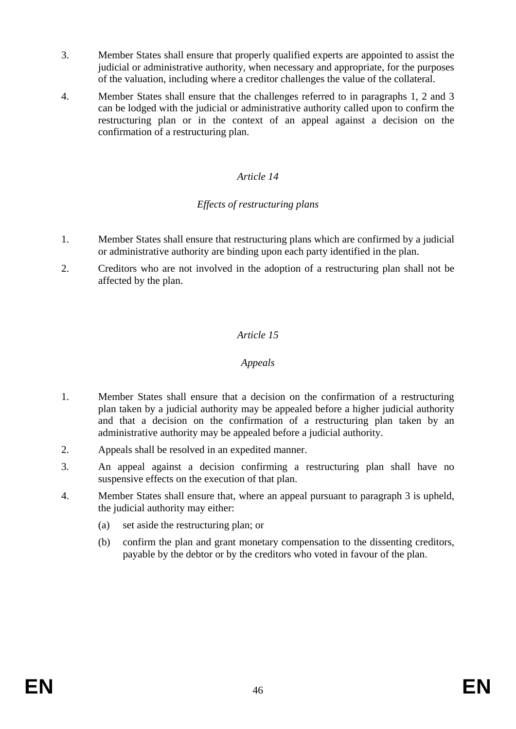- 3. Member States shall ensure that properly qualified experts are appointed to assist the judicial or administrative authority, when necessary and appropriate, for the purposes of the valuation, including where a creditor challenges the value of the collateral.
- 4. Member States shall ensure that the challenges referred to in paragraphs 1, 2 and 3 can be lodged with the judicial or administrative authority called upon to confirm the restructuring plan or in the context of an appeal against a decision on the confirmation of a restructuring plan.

## *Article 14*

## *Effects of restructuring plans*

- 1. Member States shall ensure that restructuring plans which are confirmed by a judicial or administrative authority are binding upon each party identified in the plan.
- 2. Creditors who are not involved in the adoption of a restructuring plan shall not be affected by the plan.

## *Article 15*

### *Appeals*

- 1. Member States shall ensure that a decision on the confirmation of a restructuring plan taken by a judicial authority may be appealed before a higher judicial authority and that a decision on the confirmation of a restructuring plan taken by an administrative authority may be appealed before a judicial authority.
- 2. Appeals shall be resolved in an expedited manner.
- 3. An appeal against a decision confirming a restructuring plan shall have no suspensive effects on the execution of that plan.
- 4. Member States shall ensure that, where an appeal pursuant to paragraph 3 is upheld, the judicial authority may either:
	- (a) set aside the restructuring plan; or
	- (b) confirm the plan and grant monetary compensation to the dissenting creditors, payable by the debtor or by the creditors who voted in favour of the plan.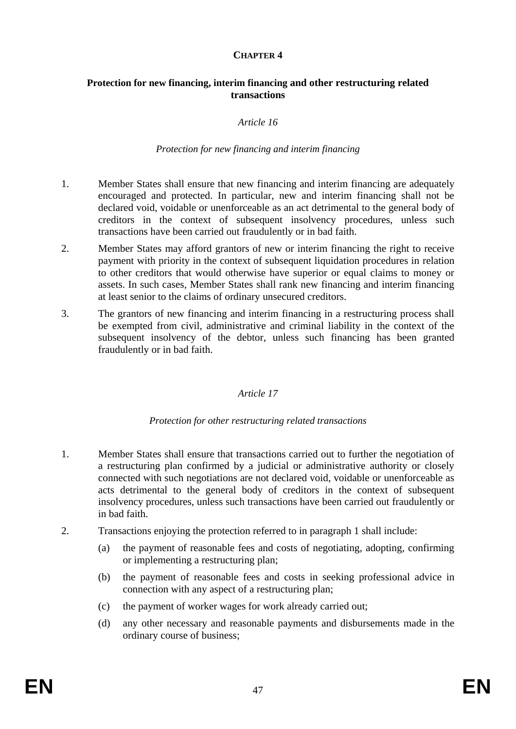#### **CHAPTER 4**

#### **Protection for new financing, interim financing and other restructuring related transactions**

#### *Article 16*

#### *Protection for new financing and interim financing*

- 1. Member States shall ensure that new financing and interim financing are adequately encouraged and protected. In particular, new and interim financing shall not be declared void, voidable or unenforceable as an act detrimental to the general body of creditors in the context of subsequent insolvency procedures, unless such transactions have been carried out fraudulently or in bad faith.
- 2. Member States may afford grantors of new or interim financing the right to receive payment with priority in the context of subsequent liquidation procedures in relation to other creditors that would otherwise have superior or equal claims to money or assets. In such cases, Member States shall rank new financing and interim financing at least senior to the claims of ordinary unsecured creditors.
- 3. The grantors of new financing and interim financing in a restructuring process shall be exempted from civil, administrative and criminal liability in the context of the subsequent insolvency of the debtor, unless such financing has been granted fraudulently or in bad faith.

#### *Article 17*

#### *Protection for other restructuring related transactions*

- 1. Member States shall ensure that transactions carried out to further the negotiation of a restructuring plan confirmed by a judicial or administrative authority or closely connected with such negotiations are not declared void, voidable or unenforceable as acts detrimental to the general body of creditors in the context of subsequent insolvency procedures, unless such transactions have been carried out fraudulently or in bad faith.
- 2. Transactions enjoying the protection referred to in paragraph 1 shall include:
	- (a) the payment of reasonable fees and costs of negotiating, adopting, confirming or implementing a restructuring plan;
	- (b) the payment of reasonable fees and costs in seeking professional advice in connection with any aspect of a restructuring plan;
	- (c) the payment of worker wages for work already carried out;
	- (d) any other necessary and reasonable payments and disbursements made in the ordinary course of business;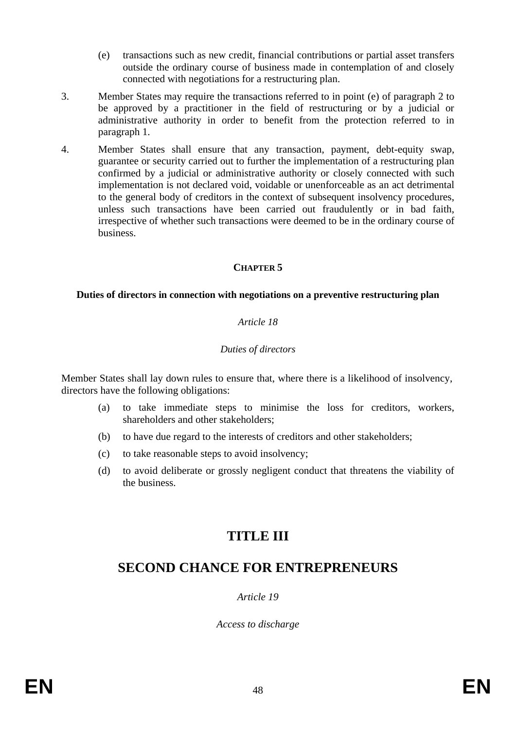- (e) transactions such as new credit, financial contributions or partial asset transfers outside the ordinary course of business made in contemplation of and closely connected with negotiations for a restructuring plan.
- 3. Member States may require the transactions referred to in point (e) of paragraph 2 to be approved by a practitioner in the field of restructuring or by a judicial or administrative authority in order to benefit from the protection referred to in paragraph 1.
- 4. Member States shall ensure that any transaction, payment, debt-equity swap, guarantee or security carried out to further the implementation of a restructuring plan confirmed by a judicial or administrative authority or closely connected with such implementation is not declared void, voidable or unenforceable as an act detrimental to the general body of creditors in the context of subsequent insolvency procedures, unless such transactions have been carried out fraudulently or in bad faith, irrespective of whether such transactions were deemed to be in the ordinary course of business.

#### **CHAPTER 5**

#### **Duties of directors in connection with negotiations on a preventive restructuring plan**

#### *Article 18*

#### *Duties of directors*

Member States shall lay down rules to ensure that, where there is a likelihood of insolvency, directors have the following obligations:

- (a) to take immediate steps to minimise the loss for creditors, workers, shareholders and other stakeholders;
- (b) to have due regard to the interests of creditors and other stakeholders;
- (c) to take reasonable steps to avoid insolvency;
- (d) to avoid deliberate or grossly negligent conduct that threatens the viability of the business.

# **TITLE III**

## **SECOND CHANCE FOR ENTREPRENEURS**

*Article 19*

*Access to discharge*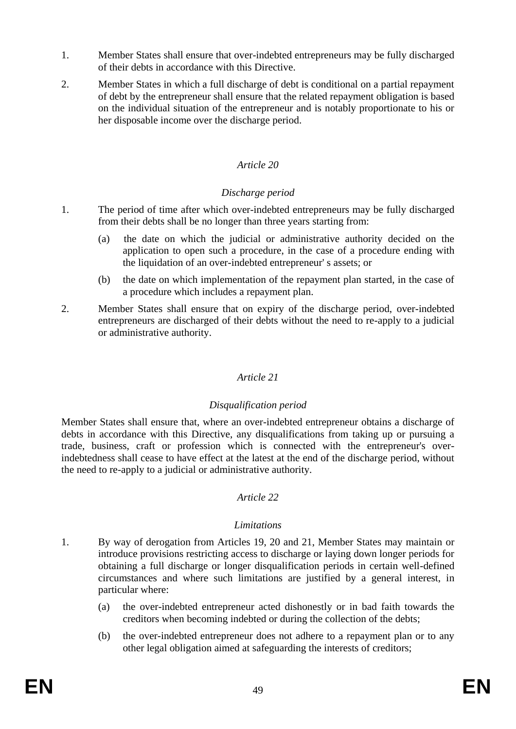- 1. Member States shall ensure that over-indebted entrepreneurs may be fully discharged of their debts in accordance with this Directive.
- 2. Member States in which a full discharge of debt is conditional on a partial repayment of debt by the entrepreneur shall ensure that the related repayment obligation is based on the individual situation of the entrepreneur and is notably proportionate to his or her disposable income over the discharge period.

## *Article 20*

## *Discharge period*

- 1. The period of time after which over-indebted entrepreneurs may be fully discharged from their debts shall be no longer than three years starting from:
	- (a) the date on which the judicial or administrative authority decided on the application to open such a procedure, in the case of a procedure ending with the liquidation of an over-indebted entrepreneur' s assets; or
	- (b) the date on which implementation of the repayment plan started, in the case of a procedure which includes a repayment plan.
- 2. Member States shall ensure that on expiry of the discharge period, over-indebted entrepreneurs are discharged of their debts without the need to re-apply to a judicial or administrative authority.

## *Article 21*

## *Disqualification period*

Member States shall ensure that, where an over-indebted entrepreneur obtains a discharge of debts in accordance with this Directive, any disqualifications from taking up or pursuing a trade, business, craft or profession which is connected with the entrepreneur's overindebtedness shall cease to have effect at the latest at the end of the discharge period, without the need to re-apply to a judicial or administrative authority.

## *Article 22*

## *Limitations*

- 1. By way of derogation from Articles 19, 20 and 21, Member States may maintain or introduce provisions restricting access to discharge or laying down longer periods for obtaining a full discharge or longer disqualification periods in certain well-defined circumstances and where such limitations are justified by a general interest, in particular where:
	- (a) the over-indebted entrepreneur acted dishonestly or in bad faith towards the creditors when becoming indebted or during the collection of the debts;
	- (b) the over-indebted entrepreneur does not adhere to a repayment plan or to any other legal obligation aimed at safeguarding the interests of creditors;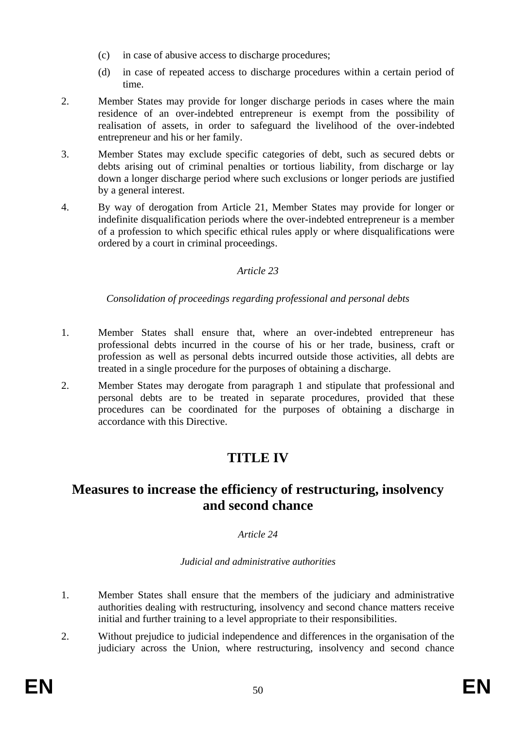- (c) in case of abusive access to discharge procedures;
- (d) in case of repeated access to discharge procedures within a certain period of time.
- 2. Member States may provide for longer discharge periods in cases where the main residence of an over-indebted entrepreneur is exempt from the possibility of realisation of assets, in order to safeguard the livelihood of the over-indebted entrepreneur and his or her family.
- 3. Member States may exclude specific categories of debt, such as secured debts or debts arising out of criminal penalties or tortious liability, from discharge or lay down a longer discharge period where such exclusions or longer periods are justified by a general interest.
- 4. By way of derogation from Article 21, Member States may provide for longer or indefinite disqualification periods where the over-indebted entrepreneur is a member of a profession to which specific ethical rules apply or where disqualifications were ordered by a court in criminal proceedings.

## *Article 23*

*Consolidation of proceedings regarding professional and personal debts*

- 1. Member States shall ensure that, where an over-indebted entrepreneur has professional debts incurred in the course of his or her trade, business, craft or profession as well as personal debts incurred outside those activities, all debts are treated in a single procedure for the purposes of obtaining a discharge.
- 2. Member States may derogate from paragraph 1 and stipulate that professional and personal debts are to be treated in separate procedures, provided that these procedures can be coordinated for the purposes of obtaining a discharge in accordance with this Directive.

# **TITLE IV**

## **Measures to increase the efficiency of restructuring, insolvency and second chance**

## *Article 24*

## *Judicial and administrative authorities*

- 1. Member States shall ensure that the members of the judiciary and administrative authorities dealing with restructuring, insolvency and second chance matters receive initial and further training to a level appropriate to their responsibilities.
- 2. Without prejudice to judicial independence and differences in the organisation of the judiciary across the Union, where restructuring, insolvency and second chance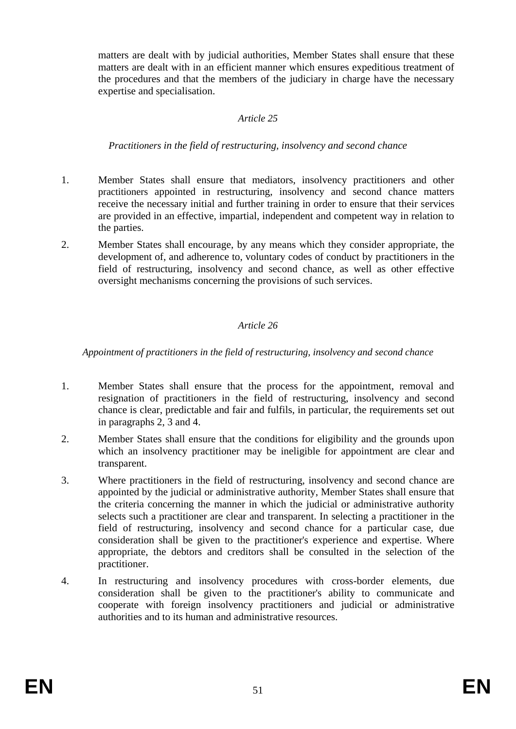matters are dealt with by judicial authorities, Member States shall ensure that these matters are dealt with in an efficient manner which ensures expeditious treatment of the procedures and that the members of the judiciary in charge have the necessary expertise and specialisation.

#### *Article 25*

#### *Practitioners in the field of restructuring, insolvency and second chance*

- 1. Member States shall ensure that mediators, insolvency practitioners and other practitioners appointed in restructuring, insolvency and second chance matters receive the necessary initial and further training in order to ensure that their services are provided in an effective, impartial, independent and competent way in relation to the parties.
- 2. Member States shall encourage, by any means which they consider appropriate, the development of, and adherence to, voluntary codes of conduct by practitioners in the field of restructuring, insolvency and second chance, as well as other effective oversight mechanisms concerning the provisions of such services.

## *Article 26*

#### *Appointment of practitioners in the field of restructuring, insolvency and second chance*

- 1. Member States shall ensure that the process for the appointment, removal and resignation of practitioners in the field of restructuring, insolvency and second chance is clear, predictable and fair and fulfils, in particular, the requirements set out in paragraphs 2, 3 and 4.
- 2. Member States shall ensure that the conditions for eligibility and the grounds upon which an insolvency practitioner may be ineligible for appointment are clear and transparent.
- 3. Where practitioners in the field of restructuring, insolvency and second chance are appointed by the judicial or administrative authority, Member States shall ensure that the criteria concerning the manner in which the judicial or administrative authority selects such a practitioner are clear and transparent. In selecting a practitioner in the field of restructuring, insolvency and second chance for a particular case, due consideration shall be given to the practitioner's experience and expertise. Where appropriate, the debtors and creditors shall be consulted in the selection of the practitioner.
- 4. In restructuring and insolvency procedures with cross-border elements, due consideration shall be given to the practitioner's ability to communicate and cooperate with foreign insolvency practitioners and judicial or administrative authorities and to its human and administrative resources.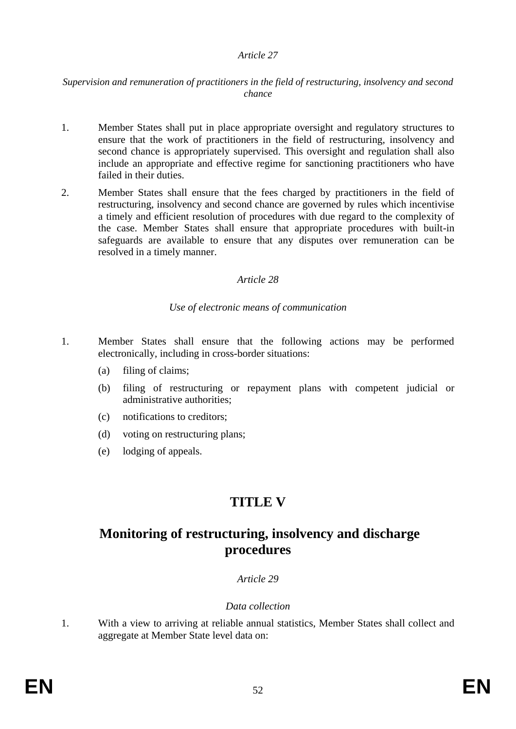#### *Article 27*

#### *Supervision and remuneration of practitioners in the field of restructuring, insolvency and second chance*

- 1. Member States shall put in place appropriate oversight and regulatory structures to ensure that the work of practitioners in the field of restructuring, insolvency and second chance is appropriately supervised. This oversight and regulation shall also include an appropriate and effective regime for sanctioning practitioners who have failed in their duties.
- 2. Member States shall ensure that the fees charged by practitioners in the field of restructuring, insolvency and second chance are governed by rules which incentivise a timely and efficient resolution of procedures with due regard to the complexity of the case. Member States shall ensure that appropriate procedures with built-in safeguards are available to ensure that any disputes over remuneration can be resolved in a timely manner.

#### *Article 28*

#### *Use of electronic means of communication*

- 1. Member States shall ensure that the following actions may be performed electronically, including in cross-border situations:
	- (a) filing of claims;
	- (b) filing of restructuring or repayment plans with competent judicial or administrative authorities;
	- (c) notifications to creditors;
	- (d) voting on restructuring plans;
	- (e) lodging of appeals.

# **TITLE V**

## **Monitoring of restructuring, insolvency and discharge procedures**

## *Article 29*

#### *Data collection*

1. With a view to arriving at reliable annual statistics, Member States shall collect and aggregate at Member State level data on: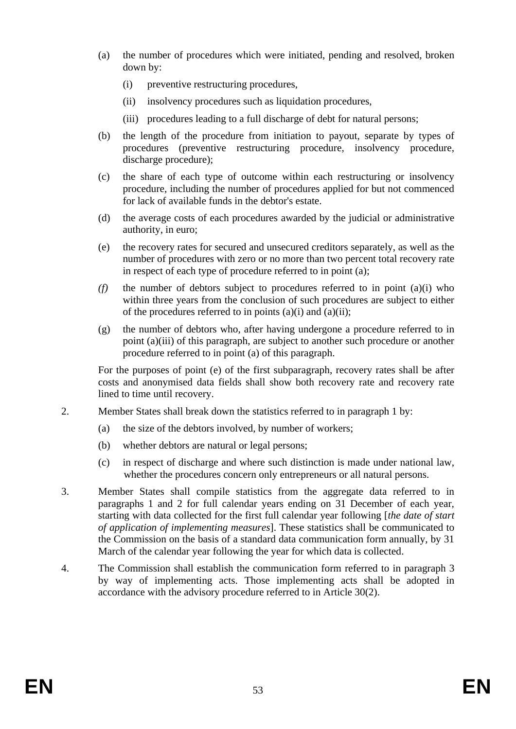- (a) the number of procedures which were initiated, pending and resolved, broken down by:
	- (i) preventive restructuring procedures,
	- (ii) insolvency procedures such as liquidation procedures,
	- (iii) procedures leading to a full discharge of debt for natural persons;
- (b) the length of the procedure from initiation to payout, separate by types of procedures (preventive restructuring procedure, insolvency procedure, discharge procedure);
- (c) the share of each type of outcome within each restructuring or insolvency procedure, including the number of procedures applied for but not commenced for lack of available funds in the debtor's estate.
- (d) the average costs of each procedures awarded by the judicial or administrative authority, in euro;
- (e) the recovery rates for secured and unsecured creditors separately, as well as the number of procedures with zero or no more than two percent total recovery rate in respect of each type of procedure referred to in point (a);
- *(f)* the number of debtors subject to procedures referred to in point (a)(i) who within three years from the conclusion of such procedures are subject to either of the procedures referred to in points  $(a)(i)$  and  $(a)(ii)$ ;
- (g) the number of debtors who, after having undergone a procedure referred to in point (a)(iii) of this paragraph, are subject to another such procedure or another procedure referred to in point (a) of this paragraph.

For the purposes of point (e) of the first subparagraph, recovery rates shall be after costs and anonymised data fields shall show both recovery rate and recovery rate lined to time until recovery.

- 2. Member States shall break down the statistics referred to in paragraph 1 by:
	- (a) the size of the debtors involved, by number of workers;
	- (b) whether debtors are natural or legal persons;
	- (c) in respect of discharge and where such distinction is made under national law, whether the procedures concern only entrepreneurs or all natural persons.
- 3. Member States shall compile statistics from the aggregate data referred to in paragraphs 1 and 2 for full calendar years ending on 31 December of each year, starting with data collected for the first full calendar year following [*the date of start of application of implementing measures*]. These statistics shall be communicated to the Commission on the basis of a standard data communication form annually, by 31 March of the calendar year following the year for which data is collected.
- 4. The Commission shall establish the communication form referred to in paragraph 3 by way of implementing acts. Those implementing acts shall be adopted in accordance with the advisory procedure referred to in Article 30(2).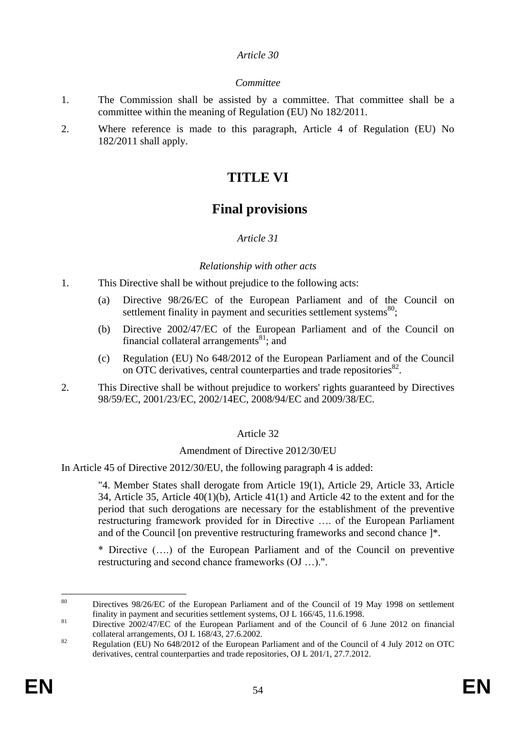#### *Article 30*

## *Committee*

- 1. The Commission shall be assisted by a committee. That committee shall be a committee within the meaning of Regulation (EU) No 182/2011.
- 2. Where reference is made to this paragraph, Article 4 of Regulation (EU) No 182/2011 shall apply.

## **TITLE VI**

## **Final provisions**

## *Article 31*

## *Relationship with other acts*

- 1. This Directive shall be without prejudice to the following acts:
	- (a) Directive 98/26/EC of the European Parliament and of the Council on settlement finality in payment and securities settlement systems $^{80}$ ;
	- (b) Directive 2002/47/EC of the European Parliament and of the Council on financial collateral arrangements $^{81}$ ; and
	- (c) Regulation (EU) No 648/2012 of the European Parliament and of the Council on OTC derivatives, central counterparties and trade repositories<sup>82</sup>.
- 2. This Directive shall be without prejudice to workers' rights guaranteed by Directives 98/59/EC, 2001/23/EC, 2002/14EC, 2008/94/EC and 2009/38/EC.

## Article 32

## Amendment of Directive 2012/30/EU

In Article 45 of Directive 2012/30/EU, the following paragraph 4 is added:

"4. Member States shall derogate from Article 19(1), Article 29, Article 33, Article 34, Article 35, Article 40(1)(b), Article 41(1) and Article 42 to the extent and for the period that such derogations are necessary for the establishment of the preventive restructuring framework provided for in Directive …. of the European Parliament and of the Council [on preventive restructuring frameworks and second chance ]\*.

\* Directive (….) of the European Parliament and of the Council on preventive restructuring and second chance frameworks (OJ …).".

<sup>80</sup> Directives 98/26/EC of the European Parliament and of the Council of 19 May 1998 on settlement finality in payment and securities settlement systems, OJ L 166/45, 11.6.1998.

<sup>&</sup>lt;sup>81</sup> Directive 2002/47/EC of the European Parliament and of the Council of 6 June 2012 on financial collateral arrangements, OJ L 168/43, 27.6.2002.

<sup>&</sup>lt;sup>82</sup> Regulation (EU) No 648/2012 of the European Parliament and of the Council of 4 July 2012 on OTC derivatives, central counterparties and trade repositories, OJ L 201/1, 27.7.2012.